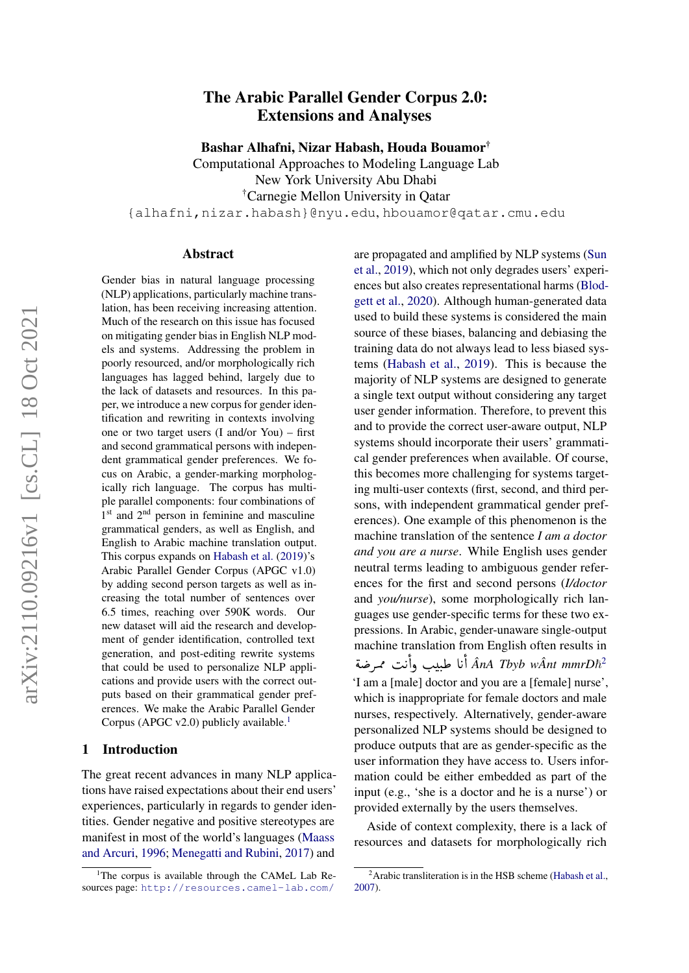# arXiv:2110.09216v1 [cs.CL] 18 Oct 2021 arXiv:2110.09216v1 [cs.CL] 18 Oct 2021

# The Arabic Parallel Gender Corpus 2.0: Extensions and Analyses

Bashar Alhafni, Nizar Habash, Houda Bouamor†

Computational Approaches to Modeling Language Lab New York University Abu Dhabi †Carnegie Mellon University in Qatar {alhafni,nizar.habash}@nyu.edu, hbouamor@qatar.cmu.edu

### Abstract

Gender bias in natural language processing (NLP) applications, particularly machine translation, has been receiving increasing attention. Much of the research on this issue has focused on mitigating gender bias in English NLP models and systems. Addressing the problem in poorly resourced, and/or morphologically rich languages has lagged behind, largely due to the lack of datasets and resources. In this paper, we introduce a new corpus for gender identification and rewriting in contexts involving one or two target users (I and/or You) – first and second grammatical persons with independent grammatical gender preferences. We focus on Arabic, a gender-marking morphologically rich language. The corpus has multiple parallel components: four combinations of 1<sup>st</sup> and 2<sup>nd</sup> person in feminine and masculine grammatical genders, as well as English, and English to Arabic machine translation output. This corpus expands on [Habash et al.](#page-10-0) [\(2019\)](#page-10-0)'s Arabic Parallel Gender Corpus (APGC v1.0) by adding second person targets as well as increasing the total number of sentences over 6.5 times, reaching over 590K words. Our new dataset will aid the research and development of gender identification, controlled text generation, and post-editing rewrite systems that could be used to personalize NLP applications and provide users with the correct outputs based on their grammatical gender preferences. We make the Arabic Parallel Gender Corpus (APGC v2.0) publicly available.<sup>[1](#page-0-0)</sup>

# 1 Introduction

The great recent advances in many NLP applications have raised expectations about their end users' experiences, particularly in regards to gender identities. Gender negative and positive stereotypes are manifest in most of the world's languages [\(Maass](#page-10-1) [and Arcuri,](#page-10-1) [1996;](#page-10-1) [Menegatti and Rubini,](#page-10-2) [2017\)](#page-10-2) and

are propagated and amplified by NLP systems [\(Sun](#page-11-0) [et al.,](#page-11-0) [2019\)](#page-11-0), which not only degrades users' experiences but also creates representational harms [\(Blod](#page-9-0)[gett et al.,](#page-9-0) [2020\)](#page-9-0). Although human-generated data used to build these systems is considered the main source of these biases, balancing and debiasing the training data do not always lead to less biased systems [\(Habash et al.,](#page-10-0) [2019\)](#page-10-0). This is because the majority of NLP systems are designed to generate a single text output without considering any target user gender information. Therefore, to prevent this and to provide the correct user-aware output, NLP systems should incorporate their users' grammatical gender preferences when available. Of course, this becomes more challenging for systems targeting multi-user contexts (first, second, and third persons, with independent grammatical gender preferences). One example of this phenomenon is the machine translation of the sentence *I am a doctor and you are a nurse*. While English uses gender neutral terms leading to ambiguous gender references for the first and second persons (*I/doctor* and *you/nurse*), some morphologically rich languages use gender-specific terms for these two expressions. In Arabic, gender-unaware single-output machine translation from English often results in n<br>.. macnine transiation from English often results in<br>تأنا طبيب وأنت ممرضة An*A Tbyb wÂnt mmrDħ* .<br>ن ֦֝֟֓֟֓֟֓֟֓֟֓֓֟׆֧<br>׆ J .<br>ن .<br>ء 'I am a [male] doctor and you are a [female] nurse', which is inappropriate for female doctors and male nurses, respectively. Alternatively, gender-aware personalized NLP systems should be designed to produce outputs that are as gender-specific as the user information they have access to. Users information could be either embedded as part of the input (e.g., 'she is a doctor and he is a nurse') or provided externally by the users themselves.

Aside of context complexity, there is a lack of resources and datasets for morphologically rich

<span id="page-0-0"></span><sup>&</sup>lt;sup>1</sup>The corpus is available through the CAMeL Lab Resources page: <http://resources.camel-lab.com/>

<span id="page-0-1"></span> $2^2$ Arabic transliteration is in the HSB scheme [\(Habash et al.,](#page-10-3) [2007\)](#page-10-3).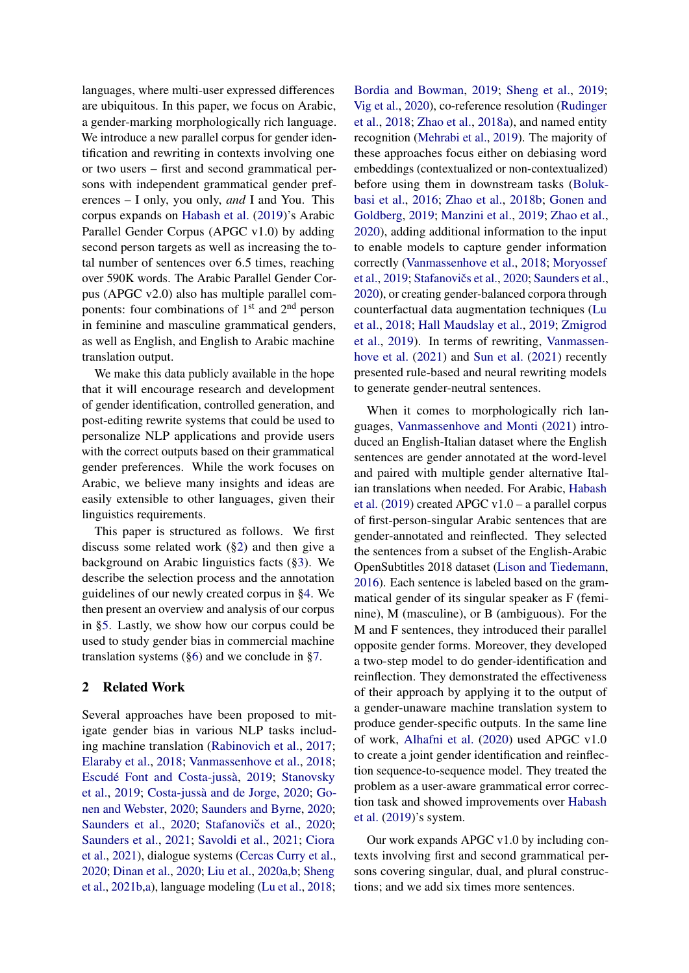languages, where multi-user expressed differences are ubiquitous. In this paper, we focus on Arabic, a gender-marking morphologically rich language. We introduce a new parallel corpus for gender identification and rewriting in contexts involving one or two users – first and second grammatical persons with independent grammatical gender preferences – I only, you only, *and* I and You. This corpus expands on [Habash et al.](#page-10-0) [\(2019\)](#page-10-0)'s Arabic Parallel Gender Corpus (APGC v1.0) by adding second person targets as well as increasing the total number of sentences over 6.5 times, reaching over 590K words. The Arabic Parallel Gender Corpus (APGC v2.0) also has multiple parallel components: four combinations of  $1<sup>st</sup>$  and  $2<sup>nd</sup>$  person in feminine and masculine grammatical genders, as well as English, and English to Arabic machine translation output.

We make this data publicly available in the hope that it will encourage research and development of gender identification, controlled generation, and post-editing rewrite systems that could be used to personalize NLP applications and provide users with the correct outputs based on their grammatical gender preferences. While the work focuses on Arabic, we believe many insights and ideas are easily extensible to other languages, given their linguistics requirements.

This paper is structured as follows. We first discuss some related work ([§2\)](#page-1-0) and then give a background on Arabic linguistics facts ([§3\)](#page-2-0). We describe the selection process and the annotation guidelines of our newly created corpus in [§4.](#page-2-1) We then present an overview and analysis of our corpus in [§5.](#page-5-0) Lastly, we show how our corpus could be used to study gender bias in commercial machine translation systems ([§6\)](#page-7-0) and we conclude in [§7.](#page-9-1)

# <span id="page-1-0"></span>2 Related Work

Several approaches have been proposed to mitigate gender bias in various NLP tasks including machine translation [\(Rabinovich et al.,](#page-10-4) [2017;](#page-10-4) [Elaraby et al.,](#page-9-2) [2018;](#page-9-2) [Vanmassenhove et al.,](#page-11-1) [2018;](#page-11-1) [Escudé Font and Costa-jussà,](#page-10-5) [2019;](#page-10-5) [Stanovsky](#page-11-2) [et al.,](#page-11-2) [2019;](#page-11-2) [Costa-jussà and de Jorge,](#page-9-3) [2020;](#page-9-3) [Go](#page-10-6)[nen and Webster,](#page-10-6) [2020;](#page-10-6) [Saunders and Byrne,](#page-11-3) [2020;](#page-11-3) [Saunders et al.,](#page-11-4) [2020;](#page-11-5) Stafanovičs et al., 2020; [Saunders et al.,](#page-11-6) [2021;](#page-11-6) [Savoldi et al.,](#page-11-7) [2021;](#page-11-7) [Ciora](#page-9-4) [et al.,](#page-9-4) [2021\)](#page-9-4), dialogue systems [\(Cercas Curry et al.,](#page-9-5) [2020;](#page-9-5) [Dinan et al.,](#page-9-6) [2020;](#page-9-6) [Liu et al.,](#page-10-7) [2020a,](#page-10-7)[b;](#page-10-8) [Sheng](#page-11-8) [et al.,](#page-11-8) [2021b,](#page-11-8)[a\)](#page-11-9), language modeling [\(Lu et al.,](#page-10-9) [2018;](#page-10-9) [Bordia and Bowman,](#page-9-7) [2019;](#page-9-7) [Sheng et al.,](#page-11-10) [2019;](#page-11-10) [Vig et al.,](#page-11-11) [2020\)](#page-11-11), co-reference resolution [\(Rudinger](#page-10-10) [et al.,](#page-10-10) [2018;](#page-10-10) [Zhao et al.,](#page-11-12) [2018a\)](#page-11-12), and named entity recognition [\(Mehrabi et al.,](#page-10-11) [2019\)](#page-10-11). The majority of these approaches focus either on debiasing word embeddings (contextualized or non-contextualized) before using them in downstream tasks [\(Boluk](#page-9-8)[basi et al.,](#page-9-8) [2016;](#page-9-8) [Zhao et al.,](#page-11-13) [2018b;](#page-11-13) [Gonen and](#page-10-12) [Goldberg,](#page-10-12) [2019;](#page-10-12) [Manzini et al.,](#page-10-13) [2019;](#page-10-13) [Zhao et al.,](#page-11-14) [2020\)](#page-11-14), adding additional information to the input to enable models to capture gender information correctly [\(Vanmassenhove et al.,](#page-11-1) [2018;](#page-11-1) [Moryossef](#page-10-14) [et al.,](#page-10-14) [2019;](#page-10-14) Stafanovičs et al., [2020;](#page-11-5) [Saunders et al.,](#page-11-4) [2020\)](#page-11-4), or creating gender-balanced corpora through counterfactual data augmentation techniques [\(Lu](#page-10-9) [et al.,](#page-10-9) [2018;](#page-10-9) [Hall Maudslay et al.,](#page-10-15) [2019;](#page-10-15) [Zmigrod](#page-11-15) [et al.,](#page-11-15) [2019\)](#page-11-15). In terms of rewriting, [Vanmassen](#page-11-16)[hove et al.](#page-11-16) [\(2021\)](#page-11-16) and [Sun et al.](#page-11-17) [\(2021\)](#page-11-17) recently presented rule-based and neural rewriting models to generate gender-neutral sentences.

When it comes to morphologically rich languages, [Vanmassenhove and Monti](#page-11-18) [\(2021\)](#page-11-18) introduced an English-Italian dataset where the English sentences are gender annotated at the word-level and paired with multiple gender alternative Italian translations when needed. For Arabic, [Habash](#page-10-0) [et al.](#page-10-0) [\(2019\)](#page-10-0) created APGC v1.0 – a parallel corpus of first-person-singular Arabic sentences that are gender-annotated and reinflected. They selected the sentences from a subset of the English-Arabic OpenSubtitles 2018 dataset [\(Lison and Tiedemann,](#page-10-16) [2016\)](#page-10-16). Each sentence is labeled based on the grammatical gender of its singular speaker as F (feminine), M (masculine), or B (ambiguous). For the M and F sentences, they introduced their parallel opposite gender forms. Moreover, they developed a two-step model to do gender-identification and reinflection. They demonstrated the effectiveness of their approach by applying it to the output of a gender-unaware machine translation system to produce gender-specific outputs. In the same line of work, [Alhafni et al.](#page-9-9) [\(2020\)](#page-9-9) used APGC v1.0 to create a joint gender identification and reinflection sequence-to-sequence model. They treated the problem as a user-aware grammatical error correction task and showed improvements over [Habash](#page-10-0) [et al.](#page-10-0) [\(2019\)](#page-10-0)'s system.

Our work expands APGC v1.0 by including contexts involving first and second grammatical persons covering singular, dual, and plural constructions; and we add six times more sentences.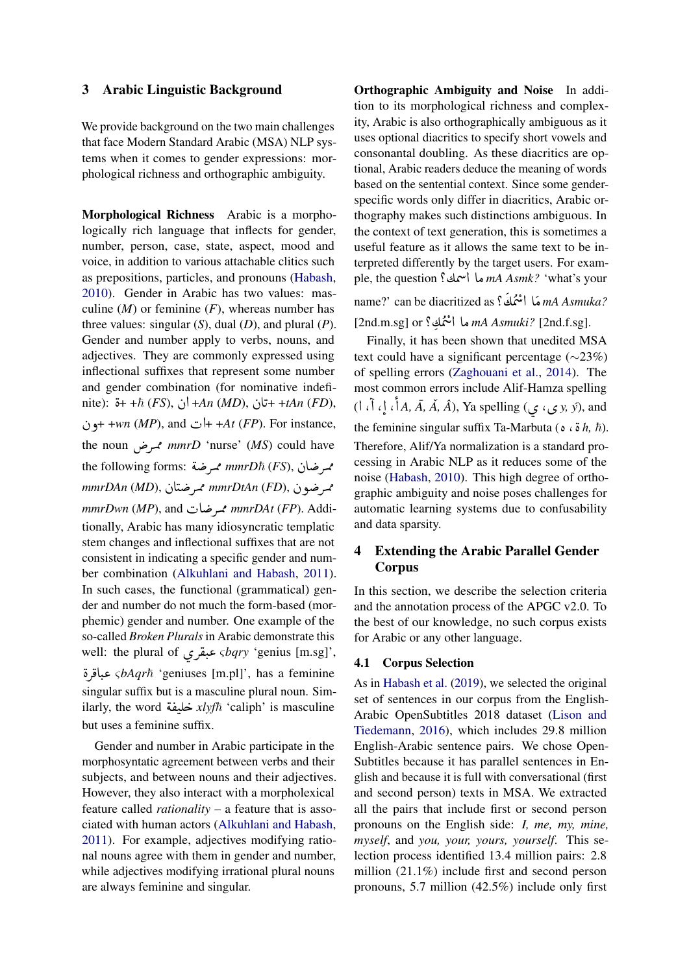# <span id="page-2-0"></span>3 Arabic Linguistic Background

We provide background on the two main challenges that face Modern Standard Arabic (MSA) NLP systems when it comes to gender expressions: morphological richness and orthographic ambiguity.

Morphological Richness Arabic is a morphologically rich language that inflects for gender, number, person, case, state, aspect, mood and voice, in addition to various attachable clitics such as prepositions, particles, and pronouns [\(Habash,](#page-10-17) [2010\)](#page-10-17). Gender in Arabic has two values: masculine  $(M)$  or feminine  $(F)$ , whereas number has three values: singular (*S*), dual (*D*), and plural (*P*). Gender and number apply to verbs, nouns, and adjectives. They are commonly expressed using inflectional suffixes that represent some number and gender combination (for nominative indefiand gender combination (for nominative indefi-<br>nite):  $\ddot{\mathbf{s}} + +\hbar (FS), \dot{\mathbf{b}} + An (MD), \dot{\mathbf{b}} +tAn (FD),$ .<br>. ن and  $\downarrow$  + +*At* (*FP*). For instance, the noun QÜ Ø *mmrD* 'nurse' (*MS*) could have .<br>. the following forms: سمرضة mmrD<sup>=</sup> fluise (ms) could have<br>ممرضان *(FS) mmrDh* mmrDAn (P5), مصرصان //mmrDAn (P5), مصر<br>ممرضون //mmrDtAn (FD J *mmrDwn (MP)*, and محرضات *mmrDAt (FP)*. Additionally, Arabic has many idiosyncratic templatic stem changes and inflectional suffixes that are not consistent in indicating a specific gender and number combination [\(Alkuhlani and Habash,](#page-9-10) [2011\)](#page-9-10). In such cases, the functional (grammatical) gender and number do not much the form-based (morphemic) gender and number. One example of the so-called *Broken Plurals* in Arabic demonstrate this well: the plural of ø Q ®J .« <sup>ς</sup>*bqry* 'genius [m.sg]',  $\sum_{i=1}^{n}$ .<br>.. وي.<br>مجافرة *sbAqrt*ì 'geniuses [m.pl]', has a feminine -<br>.. singular suffix but is a masculine plural noun. Simsingular suffix but is a masculine plural noun. Similarly, the word خليفة  $xlyf\hbar$  'caliph' is masculine  $\overline{\phantom{a}}$  $\ddot{\cdot}$ .<br>لم ֧֦֧֦֧֦֧֦֧֦֧֦֧֦֧ׅ֧ׅ֧֪֪֞֝֝֝֜֓֓֝֬֜֓֓֝<br>֧֚֚֚֝ but uses a feminine suffix.

Gender and number in Arabic participate in the morphosyntatic agreement between verbs and their subjects, and between nouns and their adjectives. However, they also interact with a morpholexical feature called *rationality* – a feature that is associated with human actors [\(Alkuhlani and Habash,](#page-9-10) [2011\)](#page-9-10). For example, adjectives modifying rational nouns agree with them in gender and number, while adjectives modifying irrational plural nouns are always feminine and singular.

Orthographic Ambiguity and Noise In addition to its morphological richness and complexity, Arabic is also orthographically ambiguous as it uses optional diacritics to specify short vowels and consonantal doubling. As these diacritics are optional, Arabic readers deduce the meaning of words based on the sentential context. Since some genderspecific words only differ in diacritics, Arabic orthography makes such distinctions ambiguous. In the context of text generation, this is sometimes a useful feature as it allows the same text to be interpreted differently by the target users. For example, the question ?½ÖÞ @ AÓ *mA Asmk?* 'what's your )<br>" name?' can be diacritized as ? ½ ÖÞ @ A Ó *mA Asmuka?*  $\overline{\phantom{a}}$ j ،<br>• ه<br>ش

[2nd.m.sg] or ?½ ÖÞ @ AÓ *mA Asmuki?* [2nd.f.sg]. יי<br>י :<br>。 .<br>۽

Finally, it has been shown that unedited MSA text could have a significant percentage (∼23%) of spelling errors [\(Zaghouani et al.,](#page-11-19) [2014\)](#page-11-19). The most common errors include Alif-Hamza spelling (@ , @ , @ @ *A, A,¯ A, Â <sup>ˇ</sup>* ), Ya spelling (ø ,ø *y, ý*), and ļ , r<br>' the feminine singular suffix Ta-Marbuta ( $\circ$   $\circ$   $\delta$  *h*,  $\hbar$ ). י<br>.. Therefore, Alif/Ya normalization is a standard processing in Arabic NLP as it reduces some of the noise [\(Habash,](#page-10-17) [2010\)](#page-10-17). This high degree of orthographic ambiguity and noise poses challenges for automatic learning systems due to confusability and data sparsity.

# <span id="page-2-1"></span>4 Extending the Arabic Parallel Gender Corpus

In this section, we describe the selection criteria and the annotation process of the APGC v2.0. To the best of our knowledge, no such corpus exists for Arabic or any other language.

### 4.1 Corpus Selection

As in [Habash et al.](#page-10-0) [\(2019\)](#page-10-0), we selected the original set of sentences in our corpus from the English-Arabic OpenSubtitles 2018 dataset [\(Lison and](#page-10-16) [Tiedemann,](#page-10-16) [2016\)](#page-10-16), which includes 29.8 million English-Arabic sentence pairs. We chose Open-Subtitles because it has parallel sentences in English and because it is full with conversational (first and second person) texts in MSA. We extracted all the pairs that include first or second person pronouns on the English side: *I, me, my, mine, myself*, and *you, your, yours, yourself*. This selection process identified 13.4 million pairs: 2.8 million (21.1%) include first and second person pronouns, 5.7 million (42.5%) include only first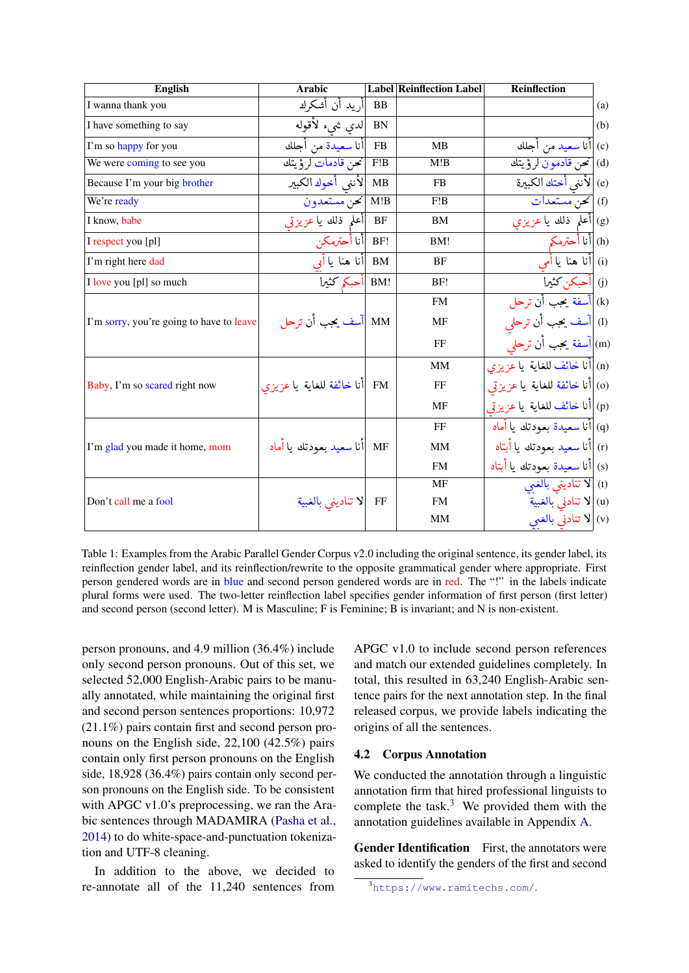<span id="page-3-1"></span>

| <b>English</b>                           | <b>Arabic</b>                 |           | <b>Label Reinflection Label</b> | <b>Reinflection</b>             |     |
|------------------------------------------|-------------------------------|-----------|---------------------------------|---------------------------------|-----|
| I wanna thank you                        | أريد أن أشكرك                 | BB        |                                 |                                 | (a) |
| I have something to say                  | لدى شيء لأقوله                | <b>BN</b> |                                 |                                 | (b) |
| I'm so happy for you                     | أنا سعيدة من أجلك             | FB        | <b>MB</b>                       | (c)  أنا سعيد من أجلك           |     |
| We were coming to see you                | تحن قادمات لرؤيتك             | F!B       | M!B                             | (d) نحن قادمون لرؤيتك           |     |
| Because I'm your big brother             | لأننى أخوك الكبير             | MB        | <b>FB</b>                       | (e)  لأننى أختك الكبيرة         |     |
| We're ready                              | تحن مستعدون                   | M!B       | F!B                             | (f) تحنّ مستعدات                |     |
| I know, babe                             | أعلم ذلك يا عزيزتي            | BF        | BM                              | (g) أعلم ذلك يا عزيزى           |     |
| I respect you [pl]                       | !BF  أنا أحترمكن              |           | BM!                             | (h)  أنا أحترمكم                |     |
| I'm right here dad                       | أنا هنا ياأىي                 | BM        | BF                              | i)  أنا هنا يا أمي              |     |
| I love you [pl] so much                  | BM!  أحبكم كثيرا              |           | BF!                             | (j)  أحبكن كثير <u>ا</u>        |     |
|                                          |                               |           | <b>FM</b>                       | (k)  أسفة يحب أن ترحل           |     |
| I'm sorry, you're going to have to leave | MM  أسف يحب أن ترحل           |           | MF                              | (I)  آسف يحبب أن ترحلي          |     |
|                                          |                               |           | FF                              | (m) أسفة يحب أن ترحليّ          |     |
|                                          |                               |           | <b>MM</b>                       | (n)  أنا خائف للغاية  يا عزيزي  |     |
| Baby, I'm so scared right now            | FM  أنا خائفة للغاية يا عزيزي |           | FF                              | (o) أنا خائفة للغاية  يا عزيزتي |     |
|                                          |                               |           | <b>MF</b>                       | (p)  أنا خائف للغاية  يا عزيزتي |     |
|                                          |                               |           | FF                              | (q) أنا سعيدة بعودتك يا أماه    |     |
| I'm glad you made it home, mom           | أنا سعيد بعودتك يا أماه       | MF        | <b>MM</b>                       | r)  أنا سعيد بعودتك يا أبتاه    |     |
|                                          |                               |           | <b>FM</b>                       | (s)  أنا سعيدة بعودتك يا أبتاه  |     |
|                                          |                               |           | <b>MF</b>                       | t) V تناديني بالغني             |     |
| Don't call me a fool                     | FF  لا تناديني بالغبية        |           | <b>FM</b>                       | u)  لا تنادني بالغبية           |     |
|                                          |                               |           | <b>MM</b>                       | (v)  لا تنادني بالغبي           |     |

Table 1: Examples from the Arabic Parallel Gender Corpus v2.0 including the original sentence, its gender label, its reinflection gender label, and its reinflection/rewrite to the opposite grammatical gender where appropriate. First person gendered words are in blue and second person gendered words are in red. The "!" in the labels indicate plural forms were used. The two-letter reinflection label specifies gender information of first person (first letter) and second person (second letter). M is Masculine; F is Feminine; B is invariant; and N is non-existent.

person pronouns, and 4.9 million (36.4%) include only second person pronouns. Out of this set, we selected 52,000 English-Arabic pairs to be manually annotated, while maintaining the original first and second person sentences proportions: 10,972 (21.1%) pairs contain first and second person pronouns on the English side, 22,100 (42.5%) pairs contain only first person pronouns on the English side, 18,928 (36.4%) pairs contain only second person pronouns on the English side. To be consistent with APGC v1.0's preprocessing, we ran the Arabic sentences through MADAMIRA [\(Pasha et al.,](#page-10-18) [2014\)](#page-10-18) to do white-space-and-punctuation tokenization and UTF-8 cleaning.

In addition to the above, we decided to re-annotate all of the 11,240 sentences from APGC v1.0 to include second person references and match our extended guidelines completely. In total, this resulted in 63,240 English-Arabic sentence pairs for the next annotation step. In the final released corpus, we provide labels indicating the origins of all the sentences.

### <span id="page-3-2"></span>4.2 Corpus Annotation

We conducted the annotation through a linguistic annotation firm that hired professional linguists to complete the task. $3$  We provided them with the annotation guidelines available in Appendix [A.](#page-12-0)

Gender Identification First, the annotators were asked to identify the genders of the first and second

<span id="page-3-0"></span><sup>3</sup><https://www.ramitechs.com/>.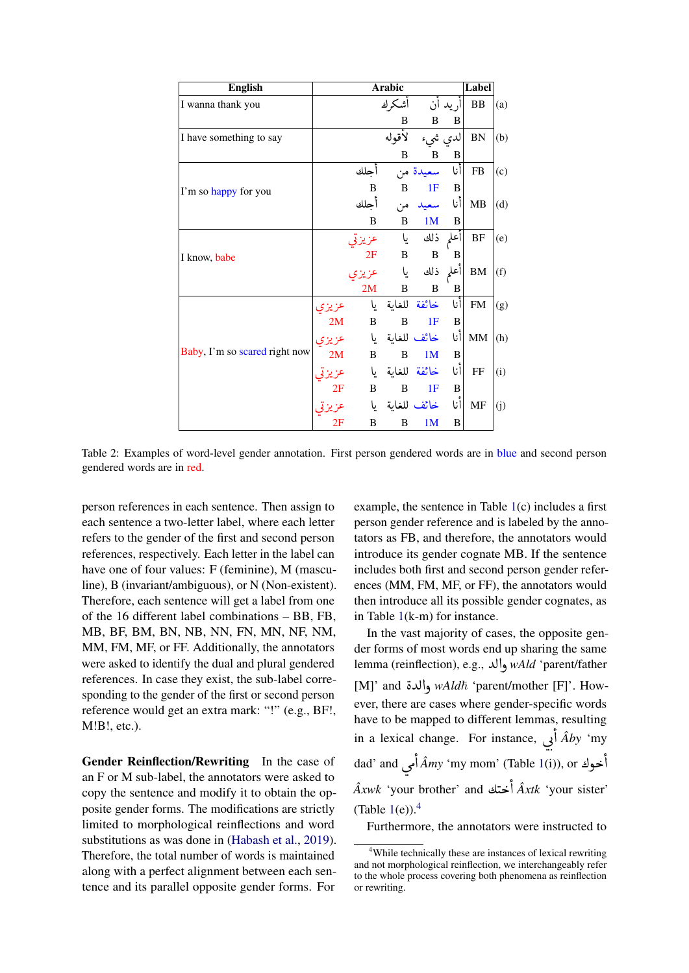<span id="page-4-1"></span>

| <b>English</b>                |       |              | <b>Arabic</b>   |                |              | Label       |     |
|-------------------------------|-------|--------------|-----------------|----------------|--------------|-------------|-----|
| I wanna thank you             |       |              | اشكرك           |                | أريد أن      | ${\bf BB}$  | (a) |
|                               |       |              | B               | B              | B            |             |     |
| I have something to say       |       |              | لأقوله          | لدى شىء        |              | ${\rm BN}$  | (b) |
|                               |       |              | B               | B              | B            |             |     |
|                               |       | اجلك         |                 | سعيدة من       | انا          | ${\rm FB}$  | (c) |
| I'm so happy for you          |       | B            | $\, {\bf B}$    | 1F             | B            |             |     |
|                               |       | أجلك         | من              | سعيد           | أنا          | MB          | (d) |
|                               |       | B            | B               | 1 <sub>M</sub> | B            |             |     |
|                               |       | عزيزتي       | یا              | ذلك            | اأعلم        | $\rm{BF}$   | (e) |
| I know, babe                  |       | 2F           | B               | B              | B            |             |     |
|                               |       |              | یا              | ذلك            | اأعلم        | ${\bf BM}$  | (f) |
|                               |       | 2M           | B               | B              | B            |             |     |
|                               | عزيزي |              | خائفة للغاية يا |                | أنا          | ${\rm FM}$  | (g) |
|                               | 2M    | $\, {\bf B}$ | B               | 1F             | B            |             |     |
|                               |       |              | خائف للغاية يا  |                | أنا          | $\mbox{MM}$ | (h) |
| Baby, I'm so scared right now | 2M    | B            | B               | 1M             | $\, {\bf B}$ |             |     |
|                               |       |              | خائفة للغاية يا |                | أنا          | $\rm FF$    | (i) |
|                               | 2Ε    | $\, {\bf B}$ | B               | 1F             | B            |             |     |
|                               |       | یا           |                 | خائف للغاية    | انا          | MF          | (j) |
|                               | 2F    | B            | B               | 1 <sub>M</sub> | B            |             |     |

Table 2: Examples of word-level gender annotation. First person gendered words are in blue and second person gendered words are in red.

person references in each sentence. Then assign to each sentence a two-letter label, where each letter refers to the gender of the first and second person references, respectively. Each letter in the label can have one of four values: F (feminine), M (masculine), B (invariant/ambiguous), or N (Non-existent). Therefore, each sentence will get a label from one of the 16 different label combinations – BB, FB, MB, BF, BM, BN, NB, NN, FN, MN, NF, NM, MM, FM, MF, or FF. Additionally, the annotators were asked to identify the dual and plural gendered references. In case they exist, the sub-label corresponding to the gender of the first or second person reference would get an extra mark: "!" (e.g., BF!, M!B!, etc.).

Gender Reinflection/Rewriting In the case of an F or M sub-label, the annotators were asked to copy the sentence and modify it to obtain the opposite gender forms. The modifications are strictly limited to morphological reinflections and word substitutions as was done in [\(Habash et al.,](#page-10-0) [2019\)](#page-10-0). Therefore, the total number of words is maintained along with a perfect alignment between each sentence and its parallel opposite gender forms. For

example, the sentence in Table  $1(c)$  $1(c)$  includes a first person gender reference and is labeled by the annotators as FB, and therefore, the annotators would introduce its gender cognate MB. If the sentence includes both first and second person gender references (MM, FM, MF, or FF), the annotators would then introduce all its possible gender cognates, as in Table [1\(](#page-3-1)k-m) for instance.

In the vast majority of cases, the opposite gender forms of most words end up sharing the same lemma (reinflection), e.g., والد ,*wAld* 'parent/father enima (teninection), e.g., والدة *wAld والله* enima<br>M]' and والدة *wAldħ* 'parent/mother [F]'. However, there are cases where gender-specific words have to be mapped to different lemmas, resulting in a lexical change. For instance, *أَ*, *Âby* 'my  $\overline{\phantom{0}}$ .<br>د . ;<br>ג .<br>خوك Á*my* 'my mom' (Table [1\(](#page-3-1)i)), or خوك dad' and Į e<br>S y<br>ء @ *Âxwk* 'your brother' and ½ k @ *Âxtk* 'your sister' J J ו<br>י (Table  $1(e)$  $1(e)$ ).<sup>[4](#page-4-0)</sup>

Furthermore, the annotators were instructed to

<span id="page-4-0"></span><sup>4</sup>While technically these are instances of lexical rewriting and not morphological reinflection, we interchangeably refer to the whole process covering both phenomena as reinflection or rewriting.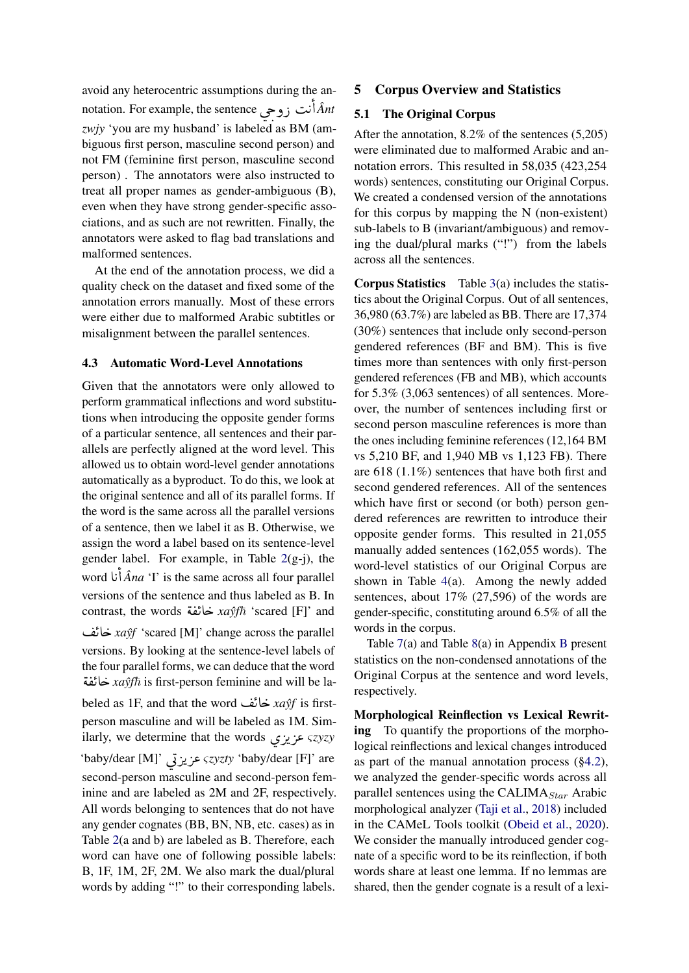avoid any heterocentric assumptions during the anavoid any neterocentric assumptions during the an-<br>notation. For example, the sentence  $\hat{A}nt$  $\overline{\phantom{0}}$  *zwjy* 'you are my husband' is labeled as BM (am-. .<br>ز )<br>ء biguous first person, masculine second person) and not FM (feminine first person, masculine second person) . The annotators were also instructed to treat all proper names as gender-ambiguous (B), even when they have strong gender-specific associations, and as such are not rewritten. Finally, the annotators were asked to flag bad translations and malformed sentences.

At the end of the annotation process, we did a quality check on the dataset and fixed some of the annotation errors manually. Most of these errors were either due to malformed Arabic subtitles or misalignment between the parallel sentences.

### 4.3 Automatic Word-Level Annotations

Given that the annotators were only allowed to perform grammatical inflections and word substitutions when introducing the opposite gender forms of a particular sentence, all sentences and their parallels are perfectly aligned at the word level. This allowed us to obtain word-level gender annotations automatically as a byproduct. To do this, we look at the original sentence and all of its parallel forms. If the word is the same across all the parallel versions of a sentence, then we label it as B. Otherwise, we assign the word a label based on its sentence-level gender label. For example, in Table  $2(g-j)$  $2(g-j)$ , the  $\int \hat{A}na$  'I' is the same across all four parallel .<br>.<br>. .<br>ز e<br>P versions of the sentence and thus labeled as B. In versions of the sentence and thus labeled as B. In<br>contrast, the words خائفة *xaŷfħ* 'scared [F]' and ֧֧֦֧֦֧֦֧֦֧֚֚֝֝֝<br>֧֚֝<br>֧֚֝ ا:<br>ء KA g *xayfˆ* 'scared [M]' change across the parallel versions. By looking at the sentence-level labels of the four parallel forms, we can deduce that the word<br> $\angle x$  خائفة  $xa\hat{v}\hat{t}$  is first-person feminine and will be la |<br>" ile four paramer forms, we can deduce that the word.<br>*xaŷft* is first-person feminine and will be lal<br>. )<br>s beled as 1F, and that the word KA g *xayfˆ* is firstperson masculine and will be labeled as 1M. Simperson masculine and will be labeled as IM. Simi<br>ilarly, we determine that the words عزيزي 'baby/dear [M]' ú QK Q« <sup>ς</sup>*zyzty* 'baby/dear [F]' are  $\overline{a}$  second-person masculine and second-person fem-!<br>.. .<br>ز inine and are labeled as 2M and 2F, respectively. All words belonging to sentences that do not have any gender cognates (BB, BN, NB, etc. cases) as in Table [2\(](#page-4-1)a and b) are labeled as B. Therefore, each word can have one of following possible labels: B, 1F, 1M, 2F, 2M. We also mark the dual/plural words by adding "!" to their corresponding labels.

# <span id="page-5-0"></span>5 Corpus Overview and Statistics

# 5.1 The Original Corpus

After the annotation, 8.2% of the sentences (5,205) were eliminated due to malformed Arabic and annotation errors. This resulted in 58,035 (423,254 words) sentences, constituting our Original Corpus. We created a condensed version of the annotations for this corpus by mapping the N (non-existent) sub-labels to B (invariant/ambiguous) and removing the dual/plural marks ("!") from the labels across all the sentences.

Corpus Statistics Table [3\(](#page-6-0)a) includes the statistics about the Original Corpus. Out of all sentences, 36,980 (63.7%) are labeled as BB. There are 17,374 (30%) sentences that include only second-person gendered references (BF and BM). This is five times more than sentences with only first-person gendered references (FB and MB), which accounts for 5.3% (3,063 sentences) of all sentences. Moreover, the number of sentences including first or second person masculine references is more than the ones including feminine references (12,164 BM vs 5,210 BF, and 1,940 MB vs 1,123 FB). There are 618 (1.1%) sentences that have both first and second gendered references. All of the sentences which have first or second (or both) person gendered references are rewritten to introduce their opposite gender forms. This resulted in 21,055 manually added sentences (162,055 words). The word-level statistics of our Original Corpus are shown in Table [4\(](#page-6-1)a). Among the newly added sentences, about 17% (27,596) of the words are gender-specific, constituting around 6.5% of all the words in the corpus.

Table [7\(](#page-14-0)a) and Table [8\(](#page-15-0)a) in Appendix [B](#page-14-1) present statistics on the non-condensed annotations of the Original Corpus at the sentence and word levels, respectively.

Morphological Reinflection vs Lexical Rewriting To quantify the proportions of the morphological reinflections and lexical changes introduced as part of the manual annotation process ([§4.2\)](#page-3-2), we analyzed the gender-specific words across all parallel sentences using the CALIMA $_{Star}$  Arabic morphological analyzer [\(Taji et al.,](#page-11-20) [2018\)](#page-11-20) included in the CAMeL Tools toolkit [\(Obeid et al.,](#page-10-19) [2020\)](#page-10-19). We consider the manually introduced gender cognate of a specific word to be its reinflection, if both words share at least one lemma. If no lemmas are shared, then the gender cognate is a result of a lexi-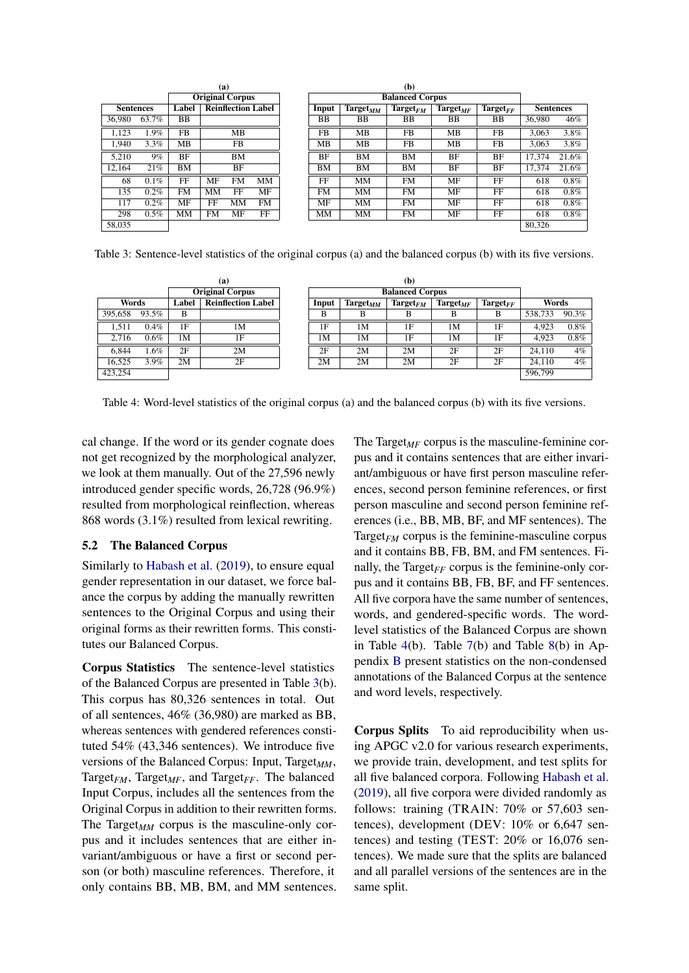<span id="page-6-0"></span>

|                  |         |           | (a)<br><b>Original Corpus</b> |                           |           |  |           |                      | (b)                    |                              |               |                  |       |
|------------------|---------|-----------|-------------------------------|---------------------------|-----------|--|-----------|----------------------|------------------------|------------------------------|---------------|------------------|-------|
|                  |         |           |                               |                           |           |  |           |                      | <b>Balanced Corpus</b> |                              |               |                  |       |
| <b>Sentences</b> |         | Label     |                               | <b>Reinflection Label</b> |           |  | Input     | $\text{Target}_{MM}$ | $Target_{FM}$          | $\operatorname{Target}_{MF}$ | $Target_{FF}$ | <b>Sentences</b> |       |
| 36,980           | 63.7%   | BB        |                               |                           |           |  | ВB        | ВB                   | BB                     | BB                           | ВB            | 36.980           | 46%   |
| 1.123            | 1.9%    | <b>FB</b> |                               | MB                        |           |  | FB        | MB                   | FB                     | MВ                           | FB.           | 3.063            | 3.8%  |
| 1,940            | $3.3\%$ | MВ        |                               | FB                        |           |  | MВ        | <b>MB</b>            | FB                     | MB                           | FB.           | 3.063            | 3.8%  |
| 5.210            | 9%      | BF        |                               | BМ                        |           |  | <b>BF</b> | BМ                   | <b>BM</b>              | BF                           | BF            | 17.374           | 21.6% |
| 12.164           | 21%     | BМ        |                               | <b>BF</b>                 |           |  | BМ        | BМ                   | BM                     | BF                           | BF            | 17.374           | 21.6% |
| 68               | $0.1\%$ | FF        | MF                            | <b>FM</b>                 | <b>MM</b> |  | FF        | <b>MM</b>            | <b>FM</b>              | MF                           | FF            | 618              | 0.8%  |
| 135              | $0.2\%$ | FM        | MM                            | FF                        | MF        |  | <b>FM</b> | MМ                   | FM                     | MF                           | FF            | 618              | 0.8%  |
| 117              | $0.2\%$ | MF        | FF                            | MМ                        | <b>FM</b> |  | MF        | <b>MM</b>            | FM                     | MF                           | FF            | 618              | 0.8%  |
| 298              | $0.5\%$ | MM        | <b>FM</b>                     | MF                        | FF        |  | MM        | <b>MM</b>            | <b>FM</b>              | MF                           | FF            | 618              | 0.8%  |
| 58,035           |         |           |                               |                           |           |  |           |                      |                        |                              |               | 80,326           |       |
|                  |         |           |                               |                           |           |  |           |                      |                        |                              |               |                  |       |

Table 3: Sentence-level statistics of the original corpus (a) and the balanced corpus (b) with its five versions.

<span id="page-6-1"></span>

|         |                                             |    | (a)                    |                                                                 |                        | (b) |    |               |         |         |
|---------|---------------------------------------------|----|------------------------|-----------------------------------------------------------------|------------------------|-----|----|---------------|---------|---------|
|         |                                             |    | <b>Original Corpus</b> |                                                                 | <b>Balanced Corpus</b> |     |    |               |         |         |
|         | <b>Reinflection Label</b><br>Words<br>Label |    |                        | $Target_{MM}$<br>$\text{Target}_{FM}$<br>$Target_{MF}$<br>Input |                        |     |    | $Target_{FF}$ | Words   |         |
| 395,658 | 93.5%                                       | B  |                        | B                                                               | в                      | в   | B  | B             | 538,733 | 90.3%   |
| 1,511   | 0.4%                                        | 1F | 1M                     | 1F                                                              | 1M                     | 1F  | 1M | 1F            | 4.923   | $0.8\%$ |
| 2.716   | 0.6%                                        | 1М | 1F                     | 1М                                                              | 1M                     | 1F  | 1M | 1F            | 4.923   | $0.8\%$ |
| 6.844   | 1.6%                                        | 2F | 2M                     | 2F                                                              | 2M                     | 2M  | 2F | 2F            | 24.110  | $4\%$   |
| 16.525  | 3.9%                                        | 2M | 2F                     | 2M                                                              | 2M                     | 2M  | 2F | 2F            | 24.110  | $4\%$   |
| 423,254 |                                             |    |                        |                                                                 |                        |     |    |               | 596,799 |         |

Table 4: Word-level statistics of the original corpus (a) and the balanced corpus (b) with its five versions.

cal change. If the word or its gender cognate does not get recognized by the morphological analyzer, we look at them manually. Out of the 27,596 newly introduced gender specific words, 26,728 (96.9%) resulted from morphological reinflection, whereas 868 words (3.1%) resulted from lexical rewriting.

# 5.2 The Balanced Corpus

Similarly to [Habash et al.](#page-10-0) [\(2019\)](#page-10-0), to ensure equal gender representation in our dataset, we force balance the corpus by adding the manually rewritten sentences to the Original Corpus and using their original forms as their rewritten forms. This constitutes our Balanced Corpus.

Corpus Statistics The sentence-level statistics of the Balanced Corpus are presented in Table [3\(](#page-6-0)b). This corpus has 80,326 sentences in total. Out of all sentences, 46% (36,980) are marked as BB, whereas sentences with gendered references constituted 54% (43,346 sentences). We introduce five versions of the Balanced Corpus: Input, Target<sub>MM</sub>, Target<sub>*FM*</sub>, Target<sub>*MF*</sub>, and Target<sub>*FF*</sub>. The balanced Input Corpus, includes all the sentences from the Original Corpus in addition to their rewritten forms. The Target<sub>MM</sub> corpus is the masculine-only corpus and it includes sentences that are either invariant/ambiguous or have a first or second person (or both) masculine references. Therefore, it only contains BB, MB, BM, and MM sentences. The Target<sub>MF</sub> corpus is the masculine-feminine corpus and it contains sentences that are either invariant/ambiguous or have first person masculine references, second person feminine references, or first person masculine and second person feminine references (i.e., BB, MB, BF, and MF sentences). The Target*FM* corpus is the feminine-masculine corpus and it contains BB, FB, BM, and FM sentences. Finally, the Target $_{FF}$  corpus is the feminine-only corpus and it contains BB, FB, BF, and FF sentences. All five corpora have the same number of sentences, words, and gendered-specific words. The wordlevel statistics of the Balanced Corpus are shown in Table [4\(](#page-6-1)b). Table [7\(](#page-14-0)b) and Table [8\(](#page-15-0)b) in Appendix [B](#page-14-1) present statistics on the non-condensed annotations of the Balanced Corpus at the sentence and word levels, respectively.

Corpus Splits To aid reproducibility when using APGC v2.0 for various research experiments, we provide train, development, and test splits for all five balanced corpora. Following [Habash et al.](#page-10-0) [\(2019\)](#page-10-0), all five corpora were divided randomly as follows: training (TRAIN: 70% or 57,603 sentences), development (DEV: 10% or 6,647 sentences) and testing (TEST: 20% or 16,076 sentences). We made sure that the splits are balanced and all parallel versions of the sentences are in the same split.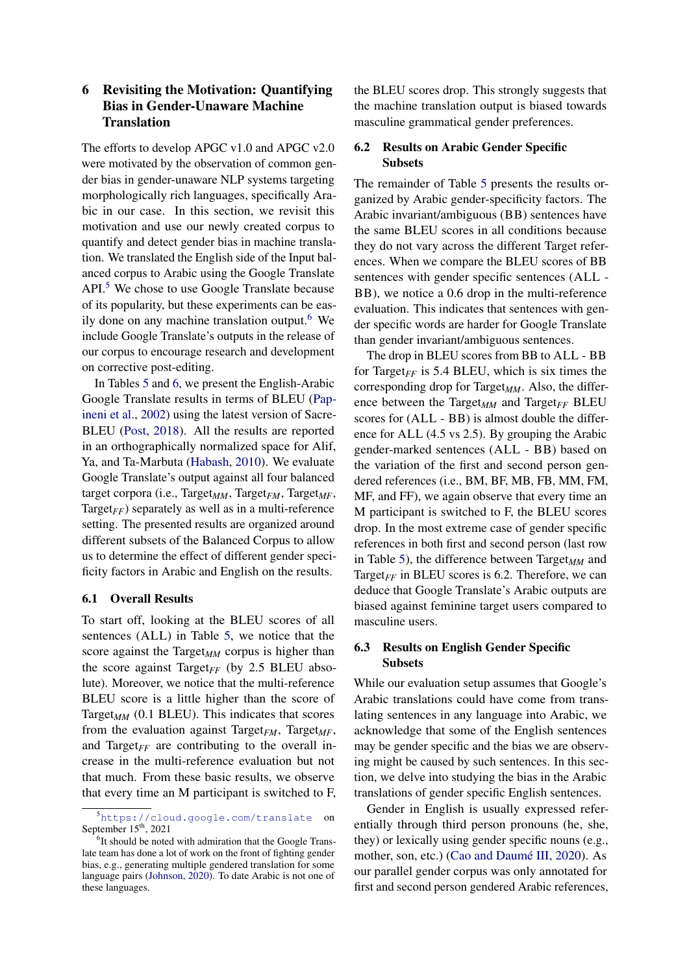# <span id="page-7-0"></span>6 Revisiting the Motivation: Quantifying Bias in Gender-Unaware Machine **Translation**

The efforts to develop APGC v1.0 and APGC v2.0 were motivated by the observation of common gender bias in gender-unaware NLP systems targeting morphologically rich languages, specifically Arabic in our case. In this section, we revisit this motivation and use our newly created corpus to quantify and detect gender bias in machine translation. We translated the English side of the Input balanced corpus to Arabic using the Google Translate API.<sup>[5](#page-7-1)</sup> We chose to use Google Translate because of its popularity, but these experiments can be eas-ily done on any machine translation output.<sup>[6](#page-7-2)</sup> We include Google Translate's outputs in the release of our corpus to encourage research and development on corrective post-editing.

In Tables [5](#page-8-0) and [6,](#page-8-1) we present the English-Arabic Google Translate results in terms of BLEU [\(Pap](#page-10-20)[ineni et al.,](#page-10-20) [2002\)](#page-10-20) using the latest version of Sacre-BLEU [\(Post,](#page-10-21) [2018\)](#page-10-21). All the results are reported in an orthographically normalized space for Alif, Ya, and Ta-Marbuta [\(Habash,](#page-10-17) [2010\)](#page-10-17). We evaluate Google Translate's output against all four balanced target corpora (i.e., Target*MM*, Target*FM*, Target*MF*, Target<sub> $FF$ </sub>) separately as well as in a multi-reference setting. The presented results are organized around different subsets of the Balanced Corpus to allow us to determine the effect of different gender specificity factors in Arabic and English on the results.

### 6.1 Overall Results

To start off, looking at the BLEU scores of all sentences (ALL) in Table [5,](#page-8-0) we notice that the score against the Target<sub>MM</sub> corpus is higher than the score against Target $_{FF}$  (by 2.5 BLEU absolute). Moreover, we notice that the multi-reference BLEU score is a little higher than the score of Target<sub>MM</sub>  $(0.1$  BLEU). This indicates that scores from the evaluation against Target<sub>*FM*</sub>, Target<sub>*MF*</sub>, and Target $_{FF}$  are contributing to the overall increase in the multi-reference evaluation but not that much. From these basic results, we observe that every time an M participant is switched to F,

the BLEU scores drop. This strongly suggests that the machine translation output is biased towards masculine grammatical gender preferences.

# 6.2 Results on Arabic Gender Specific Subsets

The remainder of Table [5](#page-8-0) presents the results organized by Arabic gender-specificity factors. The Arabic invariant/ambiguous (BB) sentences have the same BLEU scores in all conditions because they do not vary across the different Target references. When we compare the BLEU scores of BB sentences with gender specific sentences (ALL - BB), we notice a 0.6 drop in the multi-reference evaluation. This indicates that sentences with gender specific words are harder for Google Translate than gender invariant/ambiguous sentences.

The drop in BLEU scores from BB to ALL - BB for Target<sub>*FF*</sub> is 5.4 BLEU, which is six times the corresponding drop for Target*MM*. Also, the difference between the Target<sub>*MM*</sub> and Target<sub>FF</sub> BLEU scores for (ALL - BB) is almost double the difference for ALL (4.5 vs 2.5). By grouping the Arabic gender-marked sentences (ALL - BB) based on the variation of the first and second person gendered references (i.e., BM, BF, MB, FB, MM, FM, MF, and FF), we again observe that every time an M participant is switched to F, the BLEU scores drop. In the most extreme case of gender specific references in both first and second person (last row in Table [5\)](#page-8-0), the difference between  $Target_{MM}$  and Target $_{FF}$  in BLEU scores is 6.2. Therefore, we can deduce that Google Translate's Arabic outputs are biased against feminine target users compared to masculine users.

# 6.3 Results on English Gender Specific Subsets

While our evaluation setup assumes that Google's Arabic translations could have come from translating sentences in any language into Arabic, we acknowledge that some of the English sentences may be gender specific and the bias we are observing might be caused by such sentences. In this section, we delve into studying the bias in the Arabic translations of gender specific English sentences.

Gender in English is usually expressed referentially through third person pronouns (he, she, they) or lexically using gender specific nouns (e.g., mother, son, etc.) [\(Cao and Daumé III,](#page-9-11) [2020\)](#page-9-11). As our parallel gender corpus was only annotated for first and second person gendered Arabic references,

<span id="page-7-1"></span><sup>5</sup><https://cloud.google.com/translate> on September 15<sup>th</sup>, 2021

<span id="page-7-2"></span><sup>&</sup>lt;sup>6</sup>It should be noted with admiration that the Google Translate team has done a lot of work on the front of fighting gender bias, e.g., generating multiple gendered translation for some language pairs [\(Johnson,](#page-10-22) [2020\)](#page-10-22). To date Arabic is not one of these languages.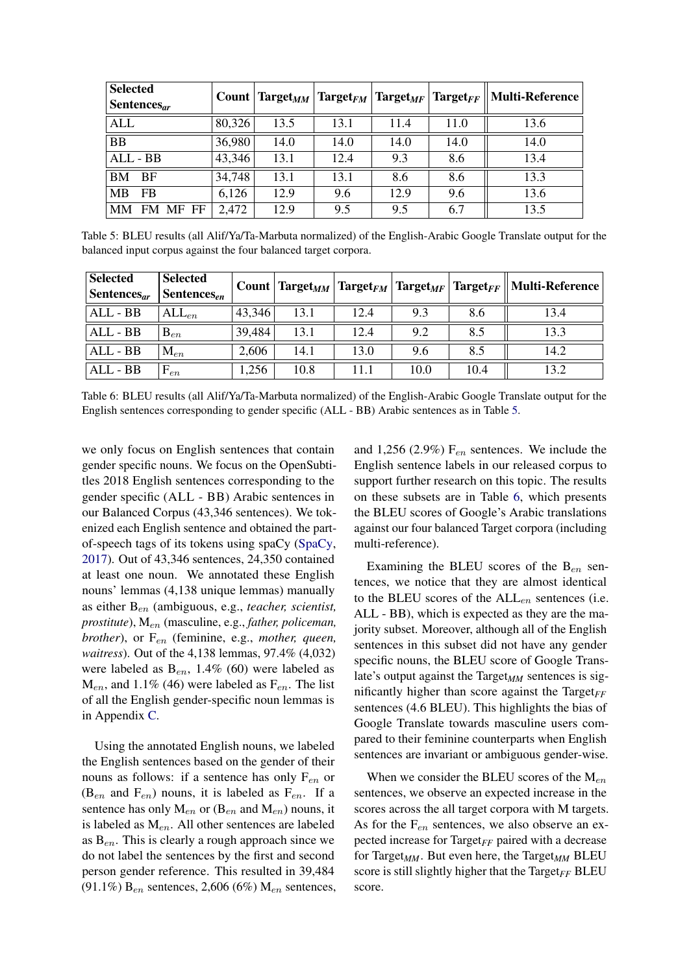<span id="page-8-0"></span>

| <b>Selected</b><br>Sentences $ar$ |        |      |      |      |      | Count   Target <sub>MM</sub>   Target <sub>FM</sub>   Target <sub>MF</sub>   Target <sub>FF</sub>    Multi-Reference |
|-----------------------------------|--------|------|------|------|------|----------------------------------------------------------------------------------------------------------------------|
| <b>ALL</b>                        | 80,326 | 13.5 | 13.1 | 11.4 | 11.0 | 13.6                                                                                                                 |
| <b>BB</b>                         | 36,980 | 14.0 | 14.0 | 14.0 | 14.0 | 14.0                                                                                                                 |
| ALL - BB                          | 43,346 | 13.1 | 12.4 | 9.3  | 8.6  | 13.4                                                                                                                 |
| <b>BM</b><br><b>BF</b>            | 34,748 | 13.1 | 13.1 | 8.6  | 8.6  | 13.3                                                                                                                 |
| MB<br><b>FB</b>                   | 6,126  | 12.9 | 9.6  | 12.9 | 9.6  | 13.6                                                                                                                 |
| MМ<br>FM MF FF                    | 2,472  | 12.9 | 9.5  | 9.5  | 6.7  | 13.5                                                                                                                 |

Table 5: BLEU results (all Alif/Ya/Ta-Marbuta normalized) of the English-Arabic Google Translate output for the balanced input corpus against the four balanced target corpora.

<span id="page-8-1"></span>

| Selected<br>Sentences $_{ar}$ | <b>Selected</b><br>$\lvert$ Sentences <sub>en</sub> |        |      |      |      |      | Count   Target <sub>MM</sub>   Target <sub>FM</sub>   Target <sub>MF</sub>   Target <sub>FF</sub>    Multi-Reference |
|-------------------------------|-----------------------------------------------------|--------|------|------|------|------|----------------------------------------------------------------------------------------------------------------------|
| ALL - BB                      | $ALL_{en}$                                          | 43,346 | 13.1 | 12.4 | 9.3  | 8.6  | 13.4                                                                                                                 |
| ALL - BB                      | $B_{en}$                                            | 39,484 | 13.1 | 12.4 | 9.2  | 8.5  | 13.3                                                                                                                 |
| ALL - BB                      | $\mathrm{M}_{en}$                                   | 2,606  | 14.1 | 13.0 | 9.6  | 8.5  | 14.2                                                                                                                 |
| ALL - BB                      | ${\rm F}_{en}$                                      | 1,256  | 10.8 | 11.1 | 10.0 | 10.4 | 13.2                                                                                                                 |

Table 6: BLEU results (all Alif/Ya/Ta-Marbuta normalized) of the English-Arabic Google Translate output for the English sentences corresponding to gender specific (ALL - BB) Arabic sentences as in Table [5.](#page-8-0)

we only focus on English sentences that contain gender specific nouns. We focus on the OpenSubtitles 2018 English sentences corresponding to the gender specific (ALL - BB) Arabic sentences in our Balanced Corpus (43,346 sentences). We tokenized each English sentence and obtained the partof-speech tags of its tokens using spaCy [\(SpaCy,](#page-11-21) [2017\)](#page-11-21). Out of 43,346 sentences, 24,350 contained at least one noun. We annotated these English nouns' lemmas (4,138 unique lemmas) manually as either Ben (ambiguous, e.g., *teacher, scientist, prostitute*), Men (masculine, e.g., *father, policeman, brother*), or  $F_{en}$  (feminine, e.g., *mother, queen, waitress*). Out of the 4,138 lemmas, 97.4% (4,032) were labeled as  $B_{en}$ , 1.4% (60) were labeled as  $M_{en}$ , and 1.1% (46) were labeled as  $F_{en}$ . The list of all the English gender-specific noun lemmas is in Appendix [C.](#page-15-1)

Using the annotated English nouns, we labeled the English sentences based on the gender of their nouns as follows: if a sentence has only  $F_{en}$  or  $(B_{en}$  and  $F_{en}$ ) nouns, it is labeled as  $F_{en}$ . If a sentence has only  $M_{en}$  or ( $B_{en}$  and  $M_{en}$ ) nouns, it is labeled as  $M_{en}$ . All other sentences are labeled as  $B_{en}$ . This is clearly a rough approach since we do not label the sentences by the first and second person gender reference. This resulted in 39,484 (91.1%)  $B_{en}$  sentences, 2,606 (6%)  $M_{en}$  sentences, and 1,256 (2.9%)  $F_{en}$  sentences. We include the English sentence labels in our released corpus to support further research on this topic. The results on these subsets are in Table [6,](#page-8-1) which presents the BLEU scores of Google's Arabic translations against our four balanced Target corpora (including multi-reference).

Examining the BLEU scores of the  $B_{en}$  sentences, we notice that they are almost identical to the BLEU scores of the  $ALL_{en}$  sentences (i.e. ALL - BB), which is expected as they are the majority subset. Moreover, although all of the English sentences in this subset did not have any gender specific nouns, the BLEU score of Google Translate's output against the  $Target_{MM}$  sentences is significantly higher than score against the Target $_{FF}$ sentences (4.6 BLEU). This highlights the bias of Google Translate towards masculine users compared to their feminine counterparts when English sentences are invariant or ambiguous gender-wise.

When we consider the BLEU scores of the  $M_{en}$ sentences, we observe an expected increase in the scores across the all target corpora with M targets. As for the  $F_{en}$  sentences, we also observe an expected increase for Target*FF* paired with a decrease for Target*MM*. But even here, the Target*MM* BLEU score is still slightly higher that the Target $_{FF}$  BLEU score.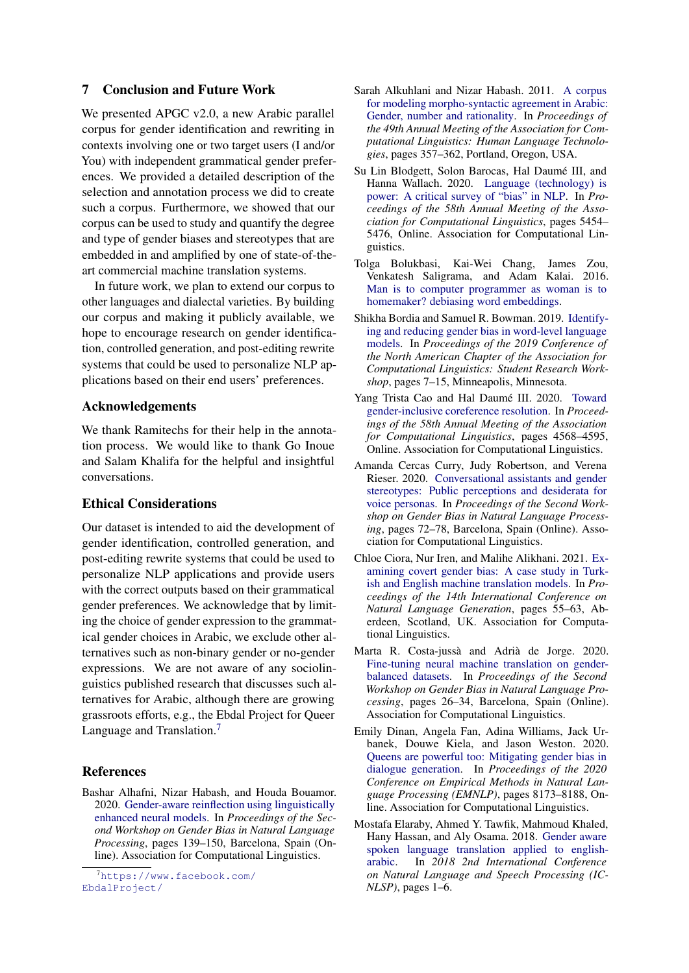# <span id="page-9-1"></span>7 Conclusion and Future Work

We presented APGC v2.0, a new Arabic parallel corpus for gender identification and rewriting in contexts involving one or two target users (I and/or You) with independent grammatical gender preferences. We provided a detailed description of the selection and annotation process we did to create such a corpus. Furthermore, we showed that our corpus can be used to study and quantify the degree and type of gender biases and stereotypes that are embedded in and amplified by one of state-of-theart commercial machine translation systems.

In future work, we plan to extend our corpus to other languages and dialectal varieties. By building our corpus and making it publicly available, we hope to encourage research on gender identification, controlled generation, and post-editing rewrite systems that could be used to personalize NLP applications based on their end users' preferences.

### Acknowledgements

We thank Ramitechs for their help in the annotation process. We would like to thank Go Inoue and Salam Khalifa for the helpful and insightful conversations.

# Ethical Considerations

Our dataset is intended to aid the development of gender identification, controlled generation, and post-editing rewrite systems that could be used to personalize NLP applications and provide users with the correct outputs based on their grammatical gender preferences. We acknowledge that by limiting the choice of gender expression to the grammatical gender choices in Arabic, we exclude other alternatives such as non-binary gender or no-gender expressions. We are not aware of any sociolinguistics published research that discusses such alternatives for Arabic, although there are growing grassroots efforts, e.g., the Ebdal Project for Queer Language and Translation.<sup>[7](#page-9-12)</sup>

### References

<span id="page-9-9"></span>Bashar Alhafni, Nizar Habash, and Houda Bouamor. 2020. [Gender-aware reinflection using linguistically](https://www.aclweb.org/anthology/2020.gebnlp-1.12) [enhanced neural models.](https://www.aclweb.org/anthology/2020.gebnlp-1.12) In *Proceedings of the Second Workshop on Gender Bias in Natural Language Processing*, pages 139–150, Barcelona, Spain (Online). Association for Computational Linguistics.

<span id="page-9-12"></span><sup>7</sup>[https://www.facebook.com/](https://www.facebook.com/EbdalProject/) [EbdalProject/](https://www.facebook.com/EbdalProject/)

- <span id="page-9-10"></span>Sarah Alkuhlani and Nizar Habash. 2011. [A corpus](https://www.aclweb.org/anthology/P11-2062) [for modeling morpho-syntactic agreement in Arabic:](https://www.aclweb.org/anthology/P11-2062) [Gender, number and rationality.](https://www.aclweb.org/anthology/P11-2062) In *Proceedings of the 49th Annual Meeting of the Association for Computational Linguistics: Human Language Technologies*, pages 357–362, Portland, Oregon, USA.
- <span id="page-9-0"></span>Su Lin Blodgett, Solon Barocas, Hal Daumé III, and Hanna Wallach. 2020. [Language \(technology\) is](https://doi.org/10.18653/v1/2020.acl-main.485) [power: A critical survey of "bias" in NLP.](https://doi.org/10.18653/v1/2020.acl-main.485) In *Proceedings of the 58th Annual Meeting of the Association for Computational Linguistics*, pages 5454– 5476, Online. Association for Computational Linguistics.
- <span id="page-9-8"></span>Tolga Bolukbasi, Kai-Wei Chang, James Zou, Venkatesh Saligrama, and Adam Kalai. 2016. [Man is to computer programmer as woman is to](http://arxiv.org/abs/1607.06520) [homemaker? debiasing word embeddings.](http://arxiv.org/abs/1607.06520)
- <span id="page-9-7"></span>Shikha Bordia and Samuel R. Bowman. 2019. [Identify](https://doi.org/10.18653/v1/N19-3002)[ing and reducing gender bias in word-level language](https://doi.org/10.18653/v1/N19-3002) [models.](https://doi.org/10.18653/v1/N19-3002) In *Proceedings of the 2019 Conference of the North American Chapter of the Association for Computational Linguistics: Student Research Workshop*, pages 7–15, Minneapolis, Minnesota.
- <span id="page-9-11"></span>Yang Trista Cao and Hal Daumé III. 2020. [Toward](https://doi.org/10.18653/v1/2020.acl-main.418) [gender-inclusive coreference resolution.](https://doi.org/10.18653/v1/2020.acl-main.418) In *Proceedings of the 58th Annual Meeting of the Association for Computational Linguistics*, pages 4568–4595, Online. Association for Computational Linguistics.
- <span id="page-9-5"></span>Amanda Cercas Curry, Judy Robertson, and Verena Rieser. 2020. [Conversational assistants and gender](https://www.aclweb.org/anthology/2020.gebnlp-1.7) [stereotypes: Public perceptions and desiderata for](https://www.aclweb.org/anthology/2020.gebnlp-1.7) [voice personas.](https://www.aclweb.org/anthology/2020.gebnlp-1.7) In *Proceedings of the Second Workshop on Gender Bias in Natural Language Processing*, pages 72–78, Barcelona, Spain (Online). Association for Computational Linguistics.
- <span id="page-9-4"></span>Chloe Ciora, Nur Iren, and Malihe Alikhani. 2021. [Ex](https://aclanthology.org/2021.inlg-1.7)[amining covert gender bias: A case study in Turk](https://aclanthology.org/2021.inlg-1.7)[ish and English machine translation models.](https://aclanthology.org/2021.inlg-1.7) In *Proceedings of the 14th International Conference on Natural Language Generation*, pages 55–63, Aberdeen, Scotland, UK. Association for Computational Linguistics.
- <span id="page-9-3"></span>Marta R. Costa-jussà and Adrià de Jorge. 2020. [Fine-tuning neural machine translation on gender](https://www.aclweb.org/anthology/2020.gebnlp-1.3)[balanced datasets.](https://www.aclweb.org/anthology/2020.gebnlp-1.3) In *Proceedings of the Second Workshop on Gender Bias in Natural Language Processing*, pages 26–34, Barcelona, Spain (Online). Association for Computational Linguistics.
- <span id="page-9-6"></span>Emily Dinan, Angela Fan, Adina Williams, Jack Urbanek, Douwe Kiela, and Jason Weston. 2020. [Queens are powerful too: Mitigating gender bias in](https://doi.org/10.18653/v1/2020.emnlp-main.656) [dialogue generation.](https://doi.org/10.18653/v1/2020.emnlp-main.656) In *Proceedings of the 2020 Conference on Empirical Methods in Natural Language Processing (EMNLP)*, pages 8173–8188, Online. Association for Computational Linguistics.
- <span id="page-9-2"></span>Mostafa Elaraby, Ahmed Y. Tawfik, Mahmoud Khaled, Hany Hassan, and Aly Osama. 2018. [Gender aware](https://doi.org/10.1109/ICNLSP.2018.8374387) [spoken language translation applied to english](https://doi.org/10.1109/ICNLSP.2018.8374387)[arabic.](https://doi.org/10.1109/ICNLSP.2018.8374387) In *2018 2nd International Conference on Natural Language and Speech Processing (IC-NLSP)*, pages 1–6.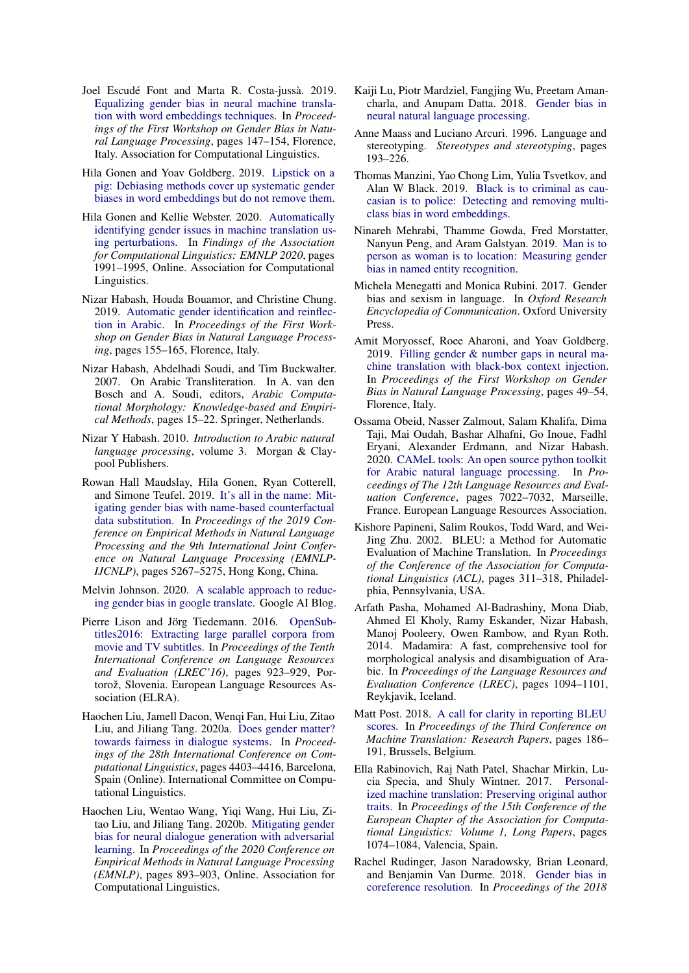- <span id="page-10-5"></span>Joel Escudé Font and Marta R. Costa-jussà. 2019. [Equalizing gender bias in neural machine transla](https://doi.org/10.18653/v1/W19-3821)[tion with word embeddings techniques.](https://doi.org/10.18653/v1/W19-3821) In *Proceedings of the First Workshop on Gender Bias in Natural Language Processing*, pages 147–154, Florence, Italy. Association for Computational Linguistics.
- <span id="page-10-12"></span>Hila Gonen and Yoav Goldberg. 2019. [Lipstick on a](http://arxiv.org/abs/1903.03862) [pig: Debiasing methods cover up systematic gender](http://arxiv.org/abs/1903.03862) [biases in word embeddings but do not remove them.](http://arxiv.org/abs/1903.03862)
- <span id="page-10-6"></span>Hila Gonen and Kellie Webster. 2020. [Automatically](https://doi.org/10.18653/v1/2020.findings-emnlp.180) [identifying gender issues in machine translation us](https://doi.org/10.18653/v1/2020.findings-emnlp.180)[ing perturbations.](https://doi.org/10.18653/v1/2020.findings-emnlp.180) In *Findings of the Association for Computational Linguistics: EMNLP 2020*, pages 1991–1995, Online. Association for Computational Linguistics.
- <span id="page-10-0"></span>Nizar Habash, Houda Bouamor, and Christine Chung. 2019. [Automatic gender identification and reinflec](https://doi.org/10.18653/v1/W19-3822)[tion in Arabic.](https://doi.org/10.18653/v1/W19-3822) In *Proceedings of the First Workshop on Gender Bias in Natural Language Processing*, pages 155–165, Florence, Italy.
- <span id="page-10-3"></span>Nizar Habash, Abdelhadi Soudi, and Tim Buckwalter. 2007. On Arabic Transliteration. In A. van den Bosch and A. Soudi, editors, *Arabic Computational Morphology: Knowledge-based and Empirical Methods*, pages 15–22. Springer, Netherlands.
- <span id="page-10-17"></span>Nizar Y Habash. 2010. *Introduction to Arabic natural language processing*, volume 3. Morgan & Claypool Publishers.
- <span id="page-10-15"></span>Rowan Hall Maudslay, Hila Gonen, Ryan Cotterell, and Simone Teufel. 2019. [It's all in the name: Mit](https://doi.org/10.18653/v1/D19-1530)[igating gender bias with name-based counterfactual](https://doi.org/10.18653/v1/D19-1530) [data substitution.](https://doi.org/10.18653/v1/D19-1530) In *Proceedings of the 2019 Conference on Empirical Methods in Natural Language Processing and the 9th International Joint Conference on Natural Language Processing (EMNLP-IJCNLP)*, pages 5267–5275, Hong Kong, China.
- <span id="page-10-22"></span>Melvin Johnson. 2020. [A scalable approach to reduc](https://ai.googleblog.com/2020/04/a-scalable-approach-to-reducing-gender.html)[ing gender bias in google translate.](https://ai.googleblog.com/2020/04/a-scalable-approach-to-reducing-gender.html) Google AI Blog.
- <span id="page-10-16"></span>Pierre Lison and Jörg Tiedemann. 2016. [OpenSub](https://www.aclweb.org/anthology/L16-1147)[titles2016: Extracting large parallel corpora from](https://www.aclweb.org/anthology/L16-1147) [movie and TV subtitles.](https://www.aclweb.org/anthology/L16-1147) In *Proceedings of the Tenth International Conference on Language Resources and Evaluation (LREC'16)*, pages 923–929, Portorož, Slovenia. European Language Resources Association (ELRA).
- <span id="page-10-7"></span>Haochen Liu, Jamell Dacon, Wenqi Fan, Hui Liu, Zitao Liu, and Jiliang Tang. 2020a. [Does gender matter?](https://doi.org/10.18653/v1/2020.coling-main.390) [towards fairness in dialogue systems.](https://doi.org/10.18653/v1/2020.coling-main.390) In *Proceedings of the 28th International Conference on Computational Linguistics*, pages 4403–4416, Barcelona, Spain (Online). International Committee on Computational Linguistics.
- <span id="page-10-8"></span>Haochen Liu, Wentao Wang, Yiqi Wang, Hui Liu, Zitao Liu, and Jiliang Tang. 2020b. [Mitigating gender](https://doi.org/10.18653/v1/2020.emnlp-main.64) [bias for neural dialogue generation with adversarial](https://doi.org/10.18653/v1/2020.emnlp-main.64) [learning.](https://doi.org/10.18653/v1/2020.emnlp-main.64) In *Proceedings of the 2020 Conference on Empirical Methods in Natural Language Processing (EMNLP)*, pages 893–903, Online. Association for Computational Linguistics.
- <span id="page-10-9"></span>Kaiji Lu, Piotr Mardziel, Fangjing Wu, Preetam Amancharla, and Anupam Datta. 2018. [Gender bias in](http://arxiv.org/abs/1807.11714) [neural natural language processing.](http://arxiv.org/abs/1807.11714)
- <span id="page-10-1"></span>Anne Maass and Luciano Arcuri. 1996. Language and stereotyping. *Stereotypes and stereotyping*, pages 193–226.
- <span id="page-10-13"></span>Thomas Manzini, Yao Chong Lim, Yulia Tsvetkov, and Alan W Black. 2019. [Black is to criminal as cau](http://arxiv.org/abs/1904.04047)[casian is to police: Detecting and removing multi](http://arxiv.org/abs/1904.04047)[class bias in word embeddings.](http://arxiv.org/abs/1904.04047)
- <span id="page-10-11"></span>Ninareh Mehrabi, Thamme Gowda, Fred Morstatter, Nanyun Peng, and Aram Galstyan. 2019. [Man is to](http://arxiv.org/abs/1910.10872) [person as woman is to location: Measuring gender](http://arxiv.org/abs/1910.10872) [bias in named entity recognition.](http://arxiv.org/abs/1910.10872)
- <span id="page-10-2"></span>Michela Menegatti and Monica Rubini. 2017. Gender bias and sexism in language. In *Oxford Research Encyclopedia of Communication*. Oxford University Press.
- <span id="page-10-14"></span>Amit Moryossef, Roee Aharoni, and Yoav Goldberg. 2019. [Filling gender & number gaps in neural ma](https://doi.org/10.18653/v1/W19-3807)[chine translation with black-box context injection.](https://doi.org/10.18653/v1/W19-3807) In *Proceedings of the First Workshop on Gender Bias in Natural Language Processing*, pages 49–54, Florence, Italy.
- <span id="page-10-19"></span>Ossama Obeid, Nasser Zalmout, Salam Khalifa, Dima Taji, Mai Oudah, Bashar Alhafni, Go Inoue, Fadhl Eryani, Alexander Erdmann, and Nizar Habash. 2020. [CAMeL tools: An open source python toolkit](https://www.aclweb.org/anthology/2020.lrec-1.868) [for Arabic natural language processing.](https://www.aclweb.org/anthology/2020.lrec-1.868) In *Proceedings of The 12th Language Resources and Evaluation Conference*, pages 7022–7032, Marseille, France. European Language Resources Association.
- <span id="page-10-20"></span>Kishore Papineni, Salim Roukos, Todd Ward, and Wei-Jing Zhu. 2002. BLEU: a Method for Automatic Evaluation of Machine Translation. In *Proceedings of the Conference of the Association for Computational Linguistics (ACL)*, pages 311–318, Philadelphia, Pennsylvania, USA.
- <span id="page-10-18"></span>Arfath Pasha, Mohamed Al-Badrashiny, Mona Diab, Ahmed El Kholy, Ramy Eskander, Nizar Habash, Manoj Pooleery, Owen Rambow, and Ryan Roth. 2014. Madamira: A fast, comprehensive tool for morphological analysis and disambiguation of Arabic. In *Proceedings of the Language Resources and Evaluation Conference (LREC)*, pages 1094–1101, Reykjavik, Iceland.
- <span id="page-10-21"></span>Matt Post. 2018. [A call for clarity in reporting BLEU](https://doi.org/10.18653/v1/W18-6319) [scores.](https://doi.org/10.18653/v1/W18-6319) In *Proceedings of the Third Conference on Machine Translation: Research Papers*, pages 186– 191, Brussels, Belgium.
- <span id="page-10-4"></span>Ella Rabinovich, Raj Nath Patel, Shachar Mirkin, Lucia Specia, and Shuly Wintner. 2017. [Personal](https://www.aclweb.org/anthology/E17-1101)[ized machine translation: Preserving original author](https://www.aclweb.org/anthology/E17-1101) [traits.](https://www.aclweb.org/anthology/E17-1101) In *Proceedings of the 15th Conference of the European Chapter of the Association for Computational Linguistics: Volume 1, Long Papers*, pages 1074–1084, Valencia, Spain.
- <span id="page-10-10"></span>Rachel Rudinger, Jason Naradowsky, Brian Leonard, and Benjamin Van Durme. 2018. [Gender bias in](https://doi.org/10.18653/v1/N18-2002) [coreference resolution.](https://doi.org/10.18653/v1/N18-2002) In *Proceedings of the 2018*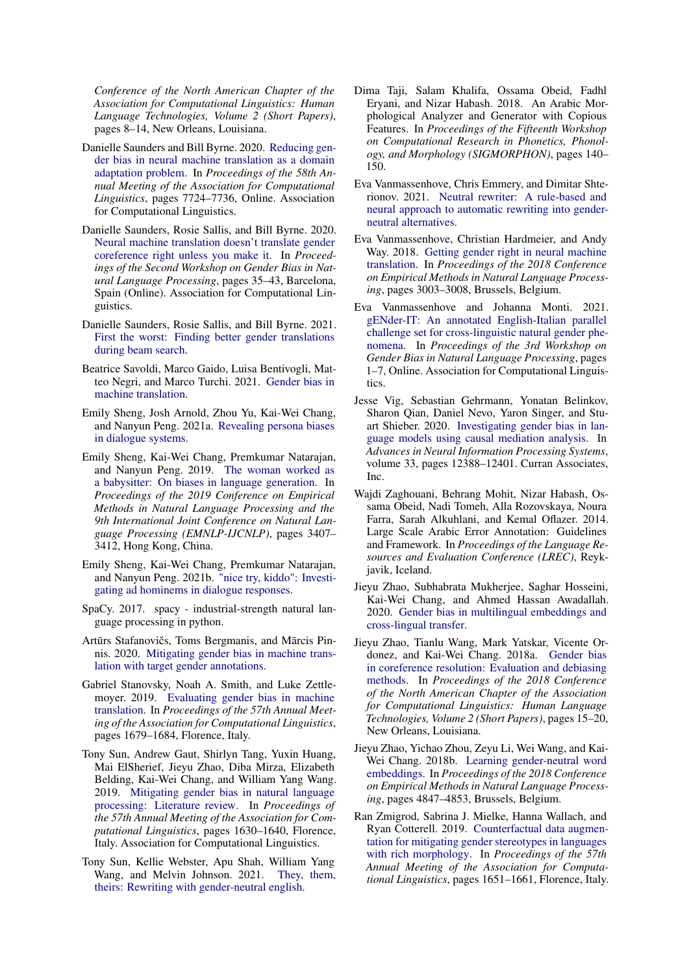*Conference of the North American Chapter of the Association for Computational Linguistics: Human Language Technologies, Volume 2 (Short Papers)*, pages 8–14, New Orleans, Louisiana.

- <span id="page-11-3"></span>Danielle Saunders and Bill Byrne. 2020. [Reducing gen](https://doi.org/10.18653/v1/2020.acl-main.690)[der bias in neural machine translation as a domain](https://doi.org/10.18653/v1/2020.acl-main.690) [adaptation problem.](https://doi.org/10.18653/v1/2020.acl-main.690) In *Proceedings of the 58th Annual Meeting of the Association for Computational Linguistics*, pages 7724–7736, Online. Association for Computational Linguistics.
- <span id="page-11-4"></span>Danielle Saunders, Rosie Sallis, and Bill Byrne. 2020. [Neural machine translation doesn't translate gender](https://www.aclweb.org/anthology/2020.gebnlp-1.4) [coreference right unless you make it.](https://www.aclweb.org/anthology/2020.gebnlp-1.4) In *Proceedings of the Second Workshop on Gender Bias in Natural Language Processing*, pages 35–43, Barcelona, Spain (Online). Association for Computational Linguistics.
- <span id="page-11-6"></span>Danielle Saunders, Rosie Sallis, and Bill Byrne. 2021. [First the worst: Finding better gender translations](http://arxiv.org/abs/2104.07429) [during beam search.](http://arxiv.org/abs/2104.07429)
- <span id="page-11-7"></span>Beatrice Savoldi, Marco Gaido, Luisa Bentivogli, Matteo Negri, and Marco Turchi. 2021. [Gender bias in](http://arxiv.org/abs/2104.06001) [machine translation.](http://arxiv.org/abs/2104.06001)
- <span id="page-11-9"></span>Emily Sheng, Josh Arnold, Zhou Yu, Kai-Wei Chang, and Nanyun Peng. 2021a. [Revealing persona biases](http://arxiv.org/abs/2104.08728) [in dialogue systems.](http://arxiv.org/abs/2104.08728)
- <span id="page-11-10"></span>Emily Sheng, Kai-Wei Chang, Premkumar Natarajan, and Nanyun Peng. 2019. [The woman worked as](https://doi.org/10.18653/v1/D19-1339) [a babysitter: On biases in language generation.](https://doi.org/10.18653/v1/D19-1339) In *Proceedings of the 2019 Conference on Empirical Methods in Natural Language Processing and the 9th International Joint Conference on Natural Language Processing (EMNLP-IJCNLP)*, pages 3407– 3412, Hong Kong, China.
- <span id="page-11-8"></span>Emily Sheng, Kai-Wei Chang, Premkumar Natarajan, and Nanyun Peng. 2021b. ["nice try, kiddo": Investi](http://arxiv.org/abs/2010.12820)[gating ad hominems in dialogue responses.](http://arxiv.org/abs/2010.12820)
- <span id="page-11-21"></span>SpaCy. 2017. spacy - industrial-strength natural language processing in python.
- <span id="page-11-5"></span>Artūrs Stafanovičs, Toms Bergmanis, and Mārcis Pinnis. 2020. [Mitigating gender bias in machine trans](http://arxiv.org/abs/2010.06203)[lation with target gender annotations.](http://arxiv.org/abs/2010.06203)
- <span id="page-11-2"></span>Gabriel Stanovsky, Noah A. Smith, and Luke Zettlemoyer. 2019. [Evaluating gender bias in machine](https://doi.org/10.18653/v1/P19-1164) [translation.](https://doi.org/10.18653/v1/P19-1164) In *Proceedings of the 57th Annual Meeting of the Association for Computational Linguistics*, pages 1679–1684, Florence, Italy.
- <span id="page-11-0"></span>Tony Sun, Andrew Gaut, Shirlyn Tang, Yuxin Huang, Mai ElSherief, Jieyu Zhao, Diba Mirza, Elizabeth Belding, Kai-Wei Chang, and William Yang Wang. 2019. [Mitigating gender bias in natural language](https://doi.org/10.18653/v1/P19-1159) [processing: Literature review.](https://doi.org/10.18653/v1/P19-1159) In *Proceedings of the 57th Annual Meeting of the Association for Computational Linguistics*, pages 1630–1640, Florence, Italy. Association for Computational Linguistics.
- <span id="page-11-17"></span>Tony Sun, Kellie Webster, Apu Shah, William Yang Wang, and Melvin Johnson. 2021. [They, them,](http://arxiv.org/abs/2102.06788) [theirs: Rewriting with gender-neutral english.](http://arxiv.org/abs/2102.06788)
- <span id="page-11-20"></span>Dima Taji, Salam Khalifa, Ossama Obeid, Fadhl Eryani, and Nizar Habash. 2018. An Arabic Morphological Analyzer and Generator with Copious Features. In *Proceedings of the Fifteenth Workshop on Computational Research in Phonetics, Phonology, and Morphology (SIGMORPHON)*, pages 140– 150.
- <span id="page-11-16"></span>Eva Vanmassenhove, Chris Emmery, and Dimitar Shterionov. 2021. [Neutral rewriter: A rule-based and](http://arxiv.org/abs/2109.06105) [neural approach to automatic rewriting into gender](http://arxiv.org/abs/2109.06105)[neutral alternatives.](http://arxiv.org/abs/2109.06105)
- <span id="page-11-1"></span>Eva Vanmassenhove, Christian Hardmeier, and Andy Way. 2018. [Getting gender right in neural machine](https://doi.org/10.18653/v1/D18-1334) [translation.](https://doi.org/10.18653/v1/D18-1334) In *Proceedings of the 2018 Conference on Empirical Methods in Natural Language Processing*, pages 3003–3008, Brussels, Belgium.
- <span id="page-11-18"></span>Eva Vanmassenhove and Johanna Monti. 2021. [gENder-IT: An annotated English-Italian parallel](https://doi.org/10.18653/v1/2021.gebnlp-1.1) [challenge set for cross-linguistic natural gender phe](https://doi.org/10.18653/v1/2021.gebnlp-1.1)[nomena.](https://doi.org/10.18653/v1/2021.gebnlp-1.1) In *Proceedings of the 3rd Workshop on Gender Bias in Natural Language Processing*, pages 1–7, Online. Association for Computational Linguistics.
- <span id="page-11-11"></span>Jesse Vig, Sebastian Gehrmann, Yonatan Belinkov, Sharon Qian, Daniel Nevo, Yaron Singer, and Stuart Shieber. 2020. [Investigating gender bias in lan](https://proceedings.neurips.cc/paper/2020/file/92650b2e92217715fe312e6fa7b90d82-Paper.pdf)[guage models using causal mediation analysis.](https://proceedings.neurips.cc/paper/2020/file/92650b2e92217715fe312e6fa7b90d82-Paper.pdf) In *Advances in Neural Information Processing Systems*, volume 33, pages 12388–12401. Curran Associates, Inc.
- <span id="page-11-19"></span>Wajdi Zaghouani, Behrang Mohit, Nizar Habash, Ossama Obeid, Nadi Tomeh, Alla Rozovskaya, Noura Farra, Sarah Alkuhlani, and Kemal Oflazer. 2014. Large Scale Arabic Error Annotation: Guidelines and Framework. In *Proceedings of the Language Resources and Evaluation Conference (LREC)*, Reykjavik, Iceland.
- <span id="page-11-14"></span>Jieyu Zhao, Subhabrata Mukherjee, Saghar Hosseini, Kai-Wei Chang, and Ahmed Hassan Awadallah. 2020. [Gender bias in multilingual embeddings and](http://arxiv.org/abs/2005.00699) [cross-lingual transfer.](http://arxiv.org/abs/2005.00699)
- <span id="page-11-12"></span>Jieyu Zhao, Tianlu Wang, Mark Yatskar, Vicente Ordonez, and Kai-Wei Chang. 2018a. [Gender bias](https://doi.org/10.18653/v1/N18-2003) [in coreference resolution: Evaluation and debiasing](https://doi.org/10.18653/v1/N18-2003) [methods.](https://doi.org/10.18653/v1/N18-2003) In *Proceedings of the 2018 Conference of the North American Chapter of the Association for Computational Linguistics: Human Language Technologies, Volume 2 (Short Papers)*, pages 15–20, New Orleans, Louisiana.
- <span id="page-11-13"></span>Jieyu Zhao, Yichao Zhou, Zeyu Li, Wei Wang, and Kai-Wei Chang. 2018b. [Learning gender-neutral word](https://doi.org/10.18653/v1/D18-1521) [embeddings.](https://doi.org/10.18653/v1/D18-1521) In *Proceedings of the 2018 Conference on Empirical Methods in Natural Language Processing*, pages 4847–4853, Brussels, Belgium.
- <span id="page-11-15"></span>Ran Zmigrod, Sabrina J. Mielke, Hanna Wallach, and Ryan Cotterell. 2019. [Counterfactual data augmen](https://doi.org/10.18653/v1/P19-1161)[tation for mitigating gender stereotypes in languages](https://doi.org/10.18653/v1/P19-1161) [with rich morphology.](https://doi.org/10.18653/v1/P19-1161) In *Proceedings of the 57th Annual Meeting of the Association for Computational Linguistics*, pages 1651–1661, Florence, Italy.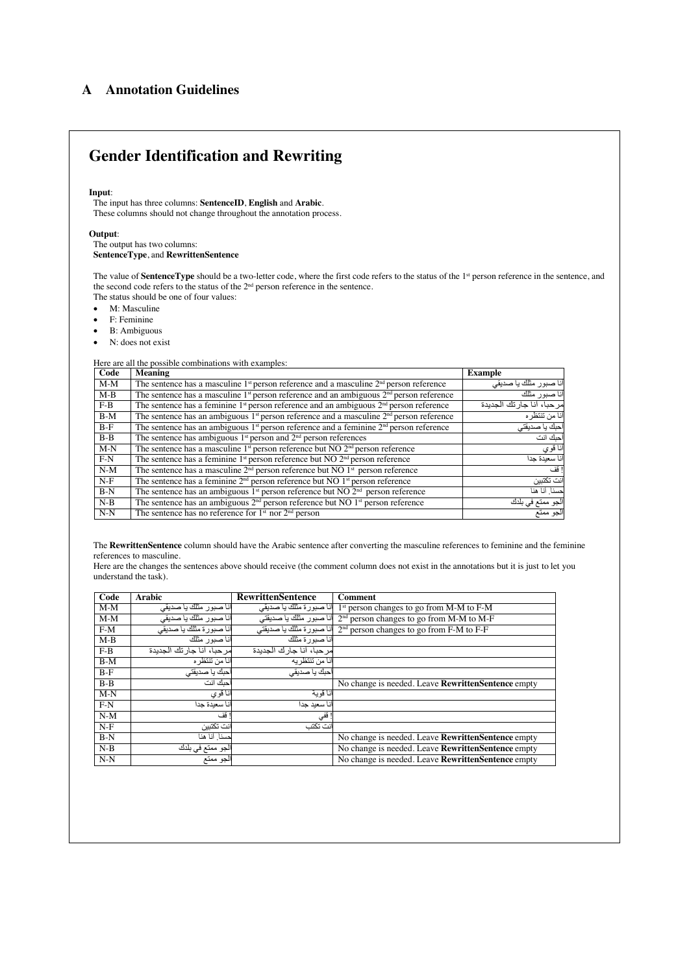# <span id="page-12-0"></span>A Annotation Guidelines

# **Gender Identification and Rewriting**

### **Input**:

The input has three columns: **SentenceID**, **English** and **Arabic**. These columns should not change throughout the annotation process.

### **Output**:

The output has two columns: **SentenceType**, and **RewrittenSentence**

The value of **SentenceType** should be a two-letter code, where the first code refers to the status of the 1<sup>st</sup> person reference in the sentence, and the status of solutionary personal code refers to the status of the 2<sup>nd</sup> person reference in the sentence.

The status should be one of four values:

- M: Masculine
- F: Feminine
- B: Ambiguous
- N: does not exist

### Here are all the possible combinations with examples:

| Code    | Meaning                                                                                              | <b>Example</b>                     |
|---------|------------------------------------------------------------------------------------------------------|------------------------------------|
| $M-M$   | The sentence has a masculine 1 <sup>st</sup> person reference and a masculine $2nd$ person reference | انا صبور  مثلك يا صديقى            |
| M-B     | The sentence has a masculine $1st$ person reference and an ambiguous $2nd$ person reference          | انا صدور مثلك                      |
| $F-B$   | The sentence has a feminine $1st$ person reference and an ambiguous $2nd$ person reference           | مر حبا، أنا جار تك الجدبدة         |
| $B-M$   | The sentence has an ambiguous $1st$ person reference and a masculine $2nd$ person reference          | أنا من تتتظر ه                     |
| $B-F$   | The sentence has an ambiguous $1st$ person reference and a feminine $2nd$ person reference           | <sup>ا</sup> حبك يا صديقت <i>ي</i> |
| $B - B$ | The sentence has ambiguous $1st$ person and $2nd$ person references                                  | حلك انت                            |
| $M-N$   | The sentence has a masculine $1^{st}$ person reference but NO $2^{nd}$ person reference              | نا قوي                             |
| $F-N$   | The sentence has a feminine $1st$ person reference but NO $2nd$ person reference                     | أنا سعبدة جدا                      |
| $N-M$   | The sentence has a masculine $2nd$ person reference but NO $1st$ person reference                    | ا قف                               |
| $N-F$   | The sentence has a feminine 2 <sup>nd</sup> person reference but NO 1 <sup>st</sup> person reference | انت تكتيرن                         |
| $B-N$   | The sentence has an ambiguous $1st$ person reference but NO $2nd$ person reference                   | حسناً. أنا هنا                     |
| $N-B$   | The sentence has an ambiguous $2nd$ person reference but NO $1st$ person reference                   | الجو ممتع في بلدك                  |
| $N-N$   | The sentence has no reference for $1st$ nor $2nd$ person                                             | الجو ممتع                          |

The **RewrittenSentence** column should have the Arabic sentence after converting the masculine references to feminine and the feminine references to masculine.

Here are the changes the sentences above should receive (the comment column does not exist in the annotations but it is just to let you understand the task).

| Code    | <b>Arabic</b>              | <b>RewrittenSentence</b>  | Comment                                              |
|---------|----------------------------|---------------------------|------------------------------------------------------|
| $M-M$   | أنا صبور مثلك يا صديقى     | انا صبورة مثلك با صديقى   | 1 <sup>st</sup> person changes to go from M-M to F-M |
| $M-M$   | آنا صبور مثلك يا صديقى     | أنا صبور مثلك يا صديقتى   | $2nd$ person changes to go from M-M to M-F           |
| $F-M$   | أنا صبورة مثلك يا صديقى    | أنا صبور ة مثلك يا صديقتى | $2nd$ person changes to go from F-M to F-F           |
| $M-B$   | أنا صدور مثلك              | أنا صبور ة مثلك           |                                                      |
| $F-B$   | مر حبا، أنا جار تك الجديدة | مر حبا، أنا جار ك الجدبدة |                                                      |
| $B-M$   | أنا من تتتظر ه             | أنا من تتنظر به           |                                                      |
| $B-F$   | أحبك يا صديقتى             | أحبك با صديقى             |                                                      |
| $B - B$ | أحلك انت                   |                           | No change is needed. Leave RewrittenSentence empty   |
| $M-N$   | أنا قوي                    | أنا قو بة                 |                                                      |
| $F-N$   | أنا سعبدة جدا              | انا سعيد جدا              |                                                      |
| $N-M$   | ا قف                       | ! قفي                     |                                                      |
| $N-F$   | انت تكتيرن                 | انت تکتب                  |                                                      |
| $B-N$   | حسناً. أنا هنا             |                           | No change is needed. Leave RewrittenSentence empty   |
| $N-B$   | الجو ممتع في بلدك          |                           | No change is needed. Leave RewrittenSentence empty   |
| $N-N$   | الجو ممتع                  |                           | No change is needed. Leave RewrittenSentence empty   |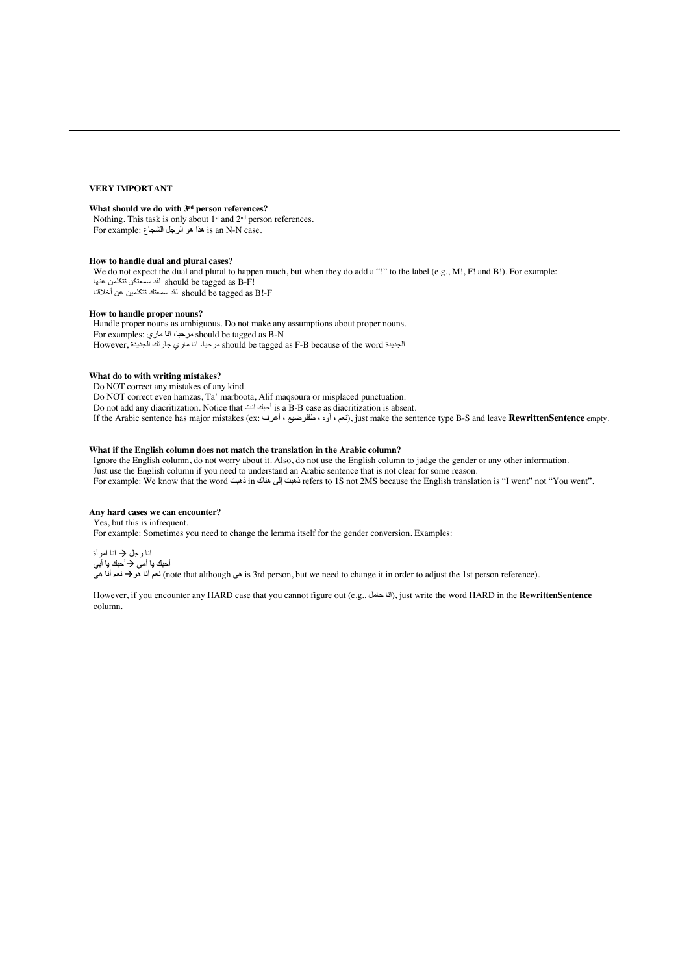### **VERY IMPORTANT**

### **What should we do with 3rd person references?**

Nothing. This task is only about 1<sup>st</sup> and 2<sup>nd</sup> person references. For example: هذا هو الرجل الشجاع is an N-N case.

### **How to handle dual and plural cases?**

We do not expect the dual and plural to happen much, but when they do add a "!" to the label (e.g., M!, F! and B!). For example: should be tagged as B-F!<br>should be tagged as B-F!  $\frac{\partial C}{\partial \Omega}$  is inould be tagged as B!-F

### **How to handle proper nouns?**

 Handle proper nouns as ambiguous. Do not make any assumptions about proper nouns. For examples: مرحبا، انا ماري : For examples However, الجدیدة should be tagged as F-B because of the word مرحبا، انا ماري جارتك الجدیدة

### **What do to with writing mistakes?**

Do NOT correct any mistakes of any kind. Do NOT correct even hamzas, Ta' marboota, Alif maqsoura or misplaced punctuation. Do not add any diacritization. Notice that انت حبكٔا is a B-B case as diacritization is absent. If the Arabic sentence has major mistakes (ex: عرفٔا ، طفلرضیع ، وهٔا ، نعم(, just make the sentence type B-S and leave **RewrittenSentence** empty.

### **What if the English column does not match the translation in the Arabic column?**

 Ignore the English column, do not worry about it. Also, do not use the English column to judge the gender or any other information. Just use the English column if you need to understand an Arabic sentence that is not clear for some reason. For example: We know that the word تبھذ in تبھذ ىلإ كانھ refers to 1S not 2MS because the English translation is "I went" not "You went".

### **Any hard cases we can encounter?**

### Yes, but this is infrequent.

For example: Sometimes you need to change the lemma itself for the gender conversion. Examples:

انا رجل ﴿ انا امرأة أحبك يا أمي �� أحبك يا أبي

معن انأ يھ à معن انأ وھ) note that although يھ is 3rd person, but we need to change it in order to adjust the 1st person reference).

However, if you encounter any HARD case that you cannot figure out (e.g., انا حامل, just write the word HARD in the **RewrittenSentence** column.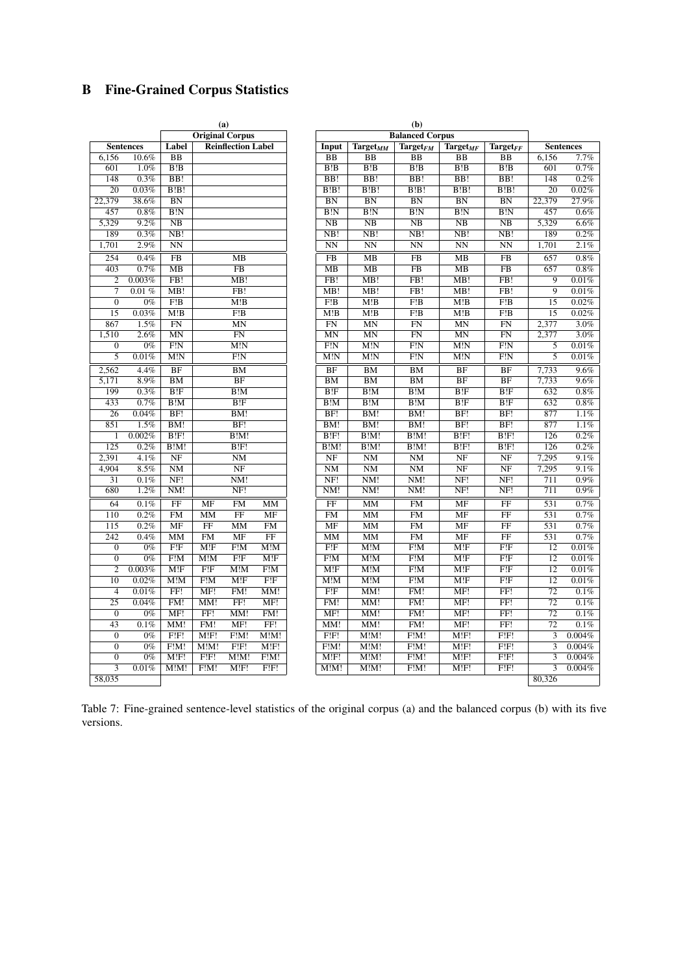# <span id="page-14-1"></span>B Fine-Grained Corpus Statistics

|                           |                                |                                | $\cdots$<br><b>Balanced Corpus</b> |                                |                                |                        | $\mathbf{u}$<br><b>Original Corpus</b> |                        |                                |                  |                  |
|---------------------------|--------------------------------|--------------------------------|------------------------------------|--------------------------------|--------------------------------|------------------------|----------------------------------------|------------------------|--------------------------------|------------------|------------------|
|                           |                                |                                |                                    |                                |                                |                        | <b>Reinflection Label</b>              |                        |                                |                  |                  |
| Sen                       | $Target_{FF}$                  | $Target_{MF}$                  | $\text{Target}_{FM}$               | Target $_{MM}$                 | Input                          |                        |                                        |                        | Label                          | <b>Sentences</b> |                  |
| 6,156                     | BB                             | <b>BB</b>                      | $\overline{BB}$                    | BB                             | <b>BB</b>                      |                        |                                        |                        | <b>BB</b>                      | 10.6%            | 6,156            |
| 601                       | B!B                            | B!B                            | B!B                                | B!B                            | B!B                            |                        |                                        |                        | B!B                            | 1.0%             | 601              |
| 148                       | $\overline{BB!}$               | $\overline{BB!}$               | $\overline{BB!}$                   | $\overline{BB!}$               | BB!                            |                        |                                        |                        | BB!                            | 0.3%             | $\overline{148}$ |
| 20                        | B!B!                           | B!B!                           | B!B!                               | B!B!                           | B!B!                           |                        |                                        |                        | B!B!                           | $0.03\%$         | 20               |
| 22,379                    | BN                             | BN                             | BN                                 | BN                             | BN                             |                        |                                        |                        | $\overline{BN}$                | 38.6%            | 22,379           |
| 457                       | B!N                            | $\overline{B!N}$               | $\overline{\text{B}!\text{N}}$     | $\overline{B!N}$               | B!N                            |                        |                                        |                        | $\overline{B!N}$               | 0.8%             | 457              |
| 5,329                     | $\overline{\text{NB}}$         | NB                             | $\overline{\text{NB}}$             | $\overline{\text{NB}}$         | $\overline{\text{NB}}$         |                        |                                        |                        | $\overline{\text{NB}}$         | 9.2%             | 5,329            |
| 189                       | NB!                            | NB!                            | NB!                                | NB!                            | NB!                            |                        |                                        |                        | NB!                            | 0.3%             | 189              |
| 1,701                     | $\overline{\text{NN}}$         | $\overline{\text{NN}}$         | $\overline{\text{NN}}$             | $\overline{\text{NN}}$         | $\overline{\text{NN}}$         |                        |                                        |                        | $\overline{\text{NN}}$         | 2.9%             | 1,701            |
| 657                       | FB                             | MB                             | $\overline{\text{FB}}$             | MB                             | $\overline{\text{FB}}$         |                        | MB                                     |                        | FB                             | 0.4%             | 254              |
| 657                       | $\overline{FB}$                | $\overline{MB}$                | $\overline{FB}$                    | $\overline{MB}$                | $\overline{MB}$                |                        | $\overline{\text{FB}}$                 |                        | $\overline{MB}$                | 0.7%             | 403              |
| $\overline{9}$            | FB!                            | MB!                            | FB!                                | MB!                            | FB!                            |                        | MB!                                    |                        | FB!                            | 0.003%           | $\overline{2}$   |
| $\overline{9}$            | FB!                            | MB!                            | FB!                                | MB!                            | MB!                            |                        | FB!                                    |                        | MB!                            | 0.01%            | $\overline{7}$   |
| 15                        | F!B                            | M!B                            | F!B                                | M!B                            | F!B                            |                        | M!B                                    |                        | F!B                            | $0\%$            | $\overline{0}$   |
| $\overline{15}$           | F!B                            | M!B                            | F!B                                | M!B                            | M!B                            |                        | F!B                                    |                        | M!B                            | 0.03%            | $\overline{15}$  |
| 2,377                     | FN                             | <b>MN</b>                      | <b>FN</b>                          | $\overline{\text{MN}}$         | FN                             |                        | <b>MN</b>                              |                        | <b>FN</b>                      | 1.5%             | 867              |
| 2,377                     | FN                             | MN                             | <b>FN</b>                          | <b>MN</b>                      | $\overline{\text{MN}}$         |                        | FN                                     |                        | MN                             | 2.6%             | 1,510            |
| $\overline{5}$            | $\overline{\text{F!N}}$        | $\overline{\text{M}!\text{N}}$ | $\overline{\text{F}!\text{N}}$     | $\overline{\text{M}!\text{N}}$ | $\overline{\text{F}!\text{N}}$ |                        | $\overline{\text{M}!\text{N}}$         |                        | $\overline{\text{F}!\text{N}}$ | $0\%$            | $\overline{0}$   |
| $\overline{5}$            | $\overline{\text{F}!\text{N}}$ | M!N                            | $\overline{\text{F}!\text{N}}$     | M!N                            | M!N                            |                        | $\overline{F!N}$                       |                        | M!N                            | 0.01%            | $\overline{5}$   |
| 7,733                     | BF                             | $\overline{\text{BF}}$         | BM                                 | BM                             | BF                             |                        | BM                                     |                        | BF                             | 4.4%             | 2,562            |
| 7,733                     | BF                             | BF                             | BM                                 | BM                             | BM                             |                        | BF                                     |                        | $\overline{\text{BM}}$         | 8.9%             | 5,171            |
| 632                       | B!F                            | B!F                            | $\overline{B!M}$                   | $\overline{B!M}$               | B!F                            |                        | B!M                                    |                        | B!F                            | 0.3%             | 199              |
| 632                       | B!F                            | B!F                            | B!M                                | B!M                            | B!M                            |                        | B!F                                    |                        | B!M                            | 0.7%             | 433              |
| 877                       | BF!                            | BF!                            | BM!                                | BM!                            | BF!                            |                        | BM!                                    |                        | BF!                            | 0.04%            | $\overline{26}$  |
| 877                       | BF!                            | BF!                            | BM!                                | BM!                            | BM!                            |                        | BF!                                    |                        | BM!                            | 1.5%             | 851              |
| 126                       | B!F!                           | B!F!                           | B!M!                               | B!M!                           | B!F!                           |                        | B!M!                                   |                        | B!F!                           | 0.002%           | $\mathbf{1}$     |
| 126                       | B!F!                           | B!F!                           | B!M!                               | B!M!                           | B!M!                           |                        | B!F!                                   |                        | B!M!                           | 0.2%             | 125              |
| 7,295                     | $\overline{\text{NF}}$         | $\overline{\text{NF}}$         | $\rm{NM}$                          | NM                             | $\overline{\text{NF}}$         |                        | NM                                     |                        | $\overline{\text{NF}}$         | 4.1%             | 2,391            |
| 7,295                     | NF                             | NF                             | NM                                 | $\rm{NM}$                      | NM                             |                        | NF                                     |                        | NM                             | 8.5%             | 4,904            |
| 711                       | NF!                            | NF!                            | NM!                                | NM!                            | NF!                            |                        | NM!                                    |                        | NF!                            | $0.1\%$          | $\overline{31}$  |
| 711                       | NF!                            | NF!                            | NM!                                | NM!                            | NM!                            |                        | NF!                                    |                        | NM!                            | 1.2%             | 680              |
|                           |                                |                                |                                    |                                |                                |                        |                                        |                        |                                |                  |                  |
| $\overline{531}$          | $\overline{\text{FF}}$         | $\overline{\text{MF}}$         | FM                                 | MM                             | $\overline{\text{FF}}$         | MM                     | <b>FM</b>                              | MF                     | $\overline{\text{FF}}$         | 0.1%             | $\overline{64}$  |
| 531                       | $\overline{FF}$                | $\overline{\text{MF}}$         | FM                                 | MM                             | FM                             | $\overline{\text{MF}}$ | $\overline{FF}$                        | $\overline{\text{MM}}$ | FM                             | 0.2%             | 110              |
| 531                       | $\overline{FF}$                | <b>MF</b>                      | FM                                 | $\overline{\text{MM}}$         | <b>MF</b>                      | FM                     | MM                                     | $\overline{FF}$        | $\overline{\text{MF}}$         | 0.2%             | 115              |
| 531                       | FF                             | MF                             | <b>FM</b>                          | MM                             | MM                             | $\overline{FF}$        | MF                                     | <b>FM</b>              | MM                             | 0.4%             | 242              |
| 12                        | F!F                            | M!F                            | F!M                                | M!M                            | F!F                            | M!M                    | F!M                                    | M!F                    | F!F                            | $0\%$            | $\overline{0}$   |
| 12                        | F!F                            | M!F                            | F!M                                | M!M                            | F!M                            | M!F                    | F!F                                    | M!M                    | F!M                            | $\overline{0\%}$ | $\overline{0}$   |
| 12                        | F!F                            | M!F                            | F!M                                | M!M                            | M!F                            | F!M                    | M!M                                    | F!F                    | M!F                            | 0.003%           | $\mathbf{2}$     |
| $\overline{12}$           | F!F                            | M!F                            | F!M                                | M!M                            | M!M                            | F!F                    | M!F                                    | F!M                    | M!M                            | 0.02%            | 10               |
| $\overline{72}$           | FF!                            | MF!                            | FM!                                | MM!                            | F!F                            | MM!                    | FM!                                    | MF!                    | FF!                            | 0.01%            | $\overline{4}$   |
| 72                        | FF!                            | MF!                            | FM!                                | MM!                            | FM!                            | MF!                    | FF!                                    | MM!                    | FM!                            | 0.04%            | $\overline{25}$  |
| $\overline{72}$           | FF!                            | MF!                            | FM!                                | MM!                            | MF!                            | FM!                    | MM!                                    | FF!                    | MF!                            | $0\%$            | $\overline{0}$   |
| $\overline{72}$           | FF!                            | MF!                            | FM!                                | MM!                            | MM!                            | FF!                    | MF!                                    | FM!                    | MM!                            | 0.1%             | $\overline{43}$  |
|                           | $F$ ! $F$ !                    | M!F!                           | F!M!                               | M!M!                           | F!F!                           | M!M!                   | F!M!                                   | M!F!                   | F!F!                           | $0\%$            | $\overline{0}$   |
| $\overline{3}$            | F!F!                           | M!F!                           | F!M!                               | M!M!                           | F!M!                           | M!F!                   | F!F!                                   | M!M!                   | F!M!                           | $0\%$            | $\overline{0}$   |
| $\overline{3}$            | F!F!                           | M!F!                           | F!M!                               | M!M!                           | M!F!                           | F!M!                   | M!M!                                   | F!F!                   | M!F!                           | $0\%$            | $\overline{0}$   |
| $\overline{\overline{3}}$ | $F$ ! $F$ !                    | M!F!                           | F!M!                               | M!M!                           | M!M!                           | FIF!                   | M!F!                                   | F!M!                   | M!M!                           | 0.01%            | $\overline{3}$   |
| 80,326                    |                                |                                |                                    |                                |                                |                        |                                        |                        |                                |                  | 58,035           |
|                           |                                |                                |                                    |                                |                                |                        |                                        |                        |                                |                  |                  |

<span id="page-14-0"></span>

|                           |                  |                          | (a)                                |                                |                        |                         |                                | (b)                            |                                |                         |                           |                  |
|---------------------------|------------------|--------------------------|------------------------------------|--------------------------------|------------------------|-------------------------|--------------------------------|--------------------------------|--------------------------------|-------------------------|---------------------------|------------------|
|                           |                  |                          | <b>Original Corpus</b>             |                                |                        |                         |                                | <b>Balanced Corpus</b>         |                                |                         |                           |                  |
|                           | <b>Sentences</b> | Label                    |                                    | <b>Reinflection Label</b>      |                        | Input                   | $Target_{MM}$                  | $\text{Target}_{FM}$           | <b>Target</b> <sub>MF</sub>    | $Target_{FF}$           |                           | <b>Sentences</b> |
| 6,156                     | 10.6%            | <b>BB</b>                |                                    |                                |                        | $\overline{BB}$         | <b>BB</b>                      | $\overline{BB}$                | <b>BB</b>                      | <b>BB</b>               | 6,156                     | 7.7%             |
| 601                       | 1.0%             | B!B                      |                                    |                                |                        | B!B                     | B!B                            | B!B                            | B!B                            | B!B                     | 601                       | 0.7%             |
| 148                       | 0.3%             | BB!                      |                                    |                                |                        | BB!                     | BB!                            | $\overline{BB!}$               | $\overline{BB!}$               | $\overline{BB!}$        | 148                       | 0.2%             |
| 20                        | 0.03%            | B!B!                     |                                    |                                |                        | B!B!                    | B!B!                           | B!B!                           | B!B!                           | B!B!                    | 20                        | 0.02%            |
| 22,379                    | 38.6%            | BN                       |                                    |                                |                        | BN                      | $\overline{BN}$                | BN                             | BN                             | $\overline{BN}$         | 22,379                    | 27.9%            |
| 457                       | $0.8\%$          | $\overline{B!N}$         |                                    |                                |                        | B!N                     | $\overline{B!N}$               | $\overline{\text{B}!N}$        | $\overline{\text{B}!\text{N}}$ | B!N                     | 457                       | $0.6\%$          |
| 5,329                     | 9.2%             | NB                       |                                    |                                |                        | NB                      | NB                             | NB                             | NB                             | NB                      | 5,329                     | 6.6%             |
| 189                       | 0.3%             | NB!                      |                                    |                                |                        | NB!                     | NB!                            | NB!                            | NB!                            | NB!                     | 189                       | 0.2%             |
| 1,701                     | 2.9%             | <b>NN</b>                |                                    |                                |                        | <b>NN</b>               | $\overline{\text{NN}}$         | $\overline{\text{NN}}$         | $\overline{\text{NN}}$         | $\overline{\text{NN}}$  | 1,701                     | 2.1%             |
| 254                       | 0.4%             | FB                       |                                    | MB                             |                        | FB                      | $\overline{MB}$                | FB                             | MB                             | FB                      | 657                       | 0.8%             |
| 403                       | 0.7%             | $\overline{MB}$          |                                    | FB                             |                        | $\overline{MB}$         | $\overline{MB}$                | $\overline{FB}$                | MB                             | $\overline{FB}$         | 657                       | $0.8\%$          |
| $\overline{2}$            | 0.003%           | FB!                      |                                    | MB!                            |                        | FB!                     | MB!                            | FB!                            | MB!                            | FB!                     | $\overline{9}$            | 0.01%            |
| 7                         | 0.01%            | MB!                      |                                    | FB!                            |                        | MB!                     | MB!                            | FB!                            | MB!                            | FB!                     | 9                         | $0.01\%$         |
| $\overline{0}$            | $0\%$            | F!B                      |                                    | M!B                            |                        | F!B                     | M!B                            | F!B                            | M!B                            | F!B                     | 15                        | 0.02%            |
| $\overline{15}$           | 0.03%            | M!B                      |                                    | $\overline{F!B}$               |                        | M!B                     | M!B                            | $\overline{F!B}$               | M!B                            | F!B                     | $\overline{15}$           | 0.02%            |
| 867                       | 1.5%             | FN                       |                                    | MN                             |                        | FN                      | MN                             | FN                             | $\overline{MN}$                | $\overline{FN}$         | 2,377                     | 3.0%             |
| 1,510                     | 2.6%             | MN                       |                                    | FN                             |                        | MN                      | <b>MN</b>                      | FN                             | MN                             | $\overline{FN}$         | 2,377                     | 3.0%             |
| $\overline{0}$            | $0\%$            | F!N                      |                                    | M!N                            |                        | F!N                     | M!N                            | F!N                            | M!N                            | F!N                     | 5                         | 0.01%            |
| $\overline{5}$            | 0.01%            | M!N                      |                                    | $\overline{\text{F}!\text{N}}$ |                        | M!N                     | $\overline{\text{M}!\text{N}}$ | $\overline{\text{F}!\text{N}}$ | M!N                            | $\overline{F!N}$        | $\overline{5}$            | 0.01%            |
| 2,562                     | 4.4%             | BF                       |                                    | BM                             |                        | BF                      | BM                             | BM                             | BF                             | BF                      | 7,733                     | 9.6%             |
| 5,171                     | 8.9%             | $\overline{\text{BM}}$   |                                    | $\overline{BF}$                |                        | BM                      | BM                             | $\overline{\text{BM}}$         | $\overline{BF}$                | $\overline{BF}$         | 7,733                     | 9.6%             |
| 199                       | 0.3%             | B!F                      |                                    | B!M                            |                        | B!F                     | B!M                            | B!M                            | B!F                            | B!F                     | 632                       | $0.8\%$          |
| 433                       | 0.7%             | B!M                      |                                    | B!F                            |                        | B!M                     | B!M                            | B!M                            | B!F                            | B!F                     | 632                       | $0.8\%$          |
| $\overline{26}$           | 0.04%            | BF!                      |                                    | BM!                            |                        | BF!                     | BM!                            | BM!                            | BF!                            | BF!                     | 877                       | 1.1%             |
| 851                       | 1.5%             | BM!                      |                                    | BF!                            |                        | BM!                     | BM!                            | BM!                            | BF!                            | BF!                     | 877                       | 1.1%             |
| $\mathbf{1}$              | 0.002%           | B!F!                     |                                    | B!M!                           |                        | B!F!                    | B!M!                           | B!M!                           | B!F!                           | B!F!                    | 126                       | 0.2%             |
| 125                       | 0.2%             | B!M!                     |                                    | B!F!                           |                        | $\overline{B!M!}$       | B!M!                           | B!M!                           | B!F!                           | B!F!                    | 126                       | 0.2%             |
| 2,391                     | 4.1%             | $\overline{\text{NF}}$   |                                    | $\overline{\text{NM}}$         |                        | $\overline{\text{NF}}$  | $\overline{\text{NM}}$         | $\overline{\text{NM}}$         | $\overline{\text{NF}}$         | $\overline{\text{NF}}$  | 7,295                     | $9.1\%$          |
| 4,904                     | 8.5%             | <b>NM</b>                |                                    | NF                             |                        | <b>NM</b>               | NM                             | $\overline{\text{NM}}$         | NF                             | NF                      | 7,295                     | 9.1%             |
| $\overline{31}$           | 0.1%             | NF!                      |                                    | NM!                            |                        | NF!                     | NM!                            | NM!                            | NF!                            | NF!                     | 711                       | $0.9\%$          |
| 680                       | 1.2%             | $\overline{\text{NM}}$ ! |                                    | NF!                            |                        | NM!                     | $\overline{\text{NM}}$ !       | NM!                            | NF!                            | NFI                     | 711                       | 0.9%             |
| 64                        | 0.1%             | $\overline{FF}$          | <b>MF</b>                          | FM                             | <b>MM</b>              | $\overline{FF}$         | MM                             | FM                             | <b>MF</b>                      | $\overline{\text{FF}}$  | 531                       | 0.7%             |
| 110                       | 0.2%             | FM                       | $\overline{\text{MM}}$             | $\overline{FF}$                | MF                     | FM                      | $\overline{\text{MM}}$         | FM                             | $\overline{\text{MF}}$         | $\overline{\text{FF}}$  | 531                       | 0.7%             |
| $\overline{115}$          | 0.2%             | $\overline{\text{MF}}$   | $\overline{\text{FF}}$             | MM                             | $\overline{\text{FM}}$ | $\overline{\text{MF}}$  | $\overline{\text{MM}}$         | FM                             | $\overline{\text{MF}}$         | $\overline{\text{FF}}$  | 531                       | 0.7%             |
| 242                       | 0.4%             | <b>MM</b>                | <b>FM</b>                          | MF                             | FF                     | <b>MM</b>               | $\overline{\text{MM}}$         | <b>FM</b>                      | MF                             | FF                      | 531                       | 0.7%             |
| $\overline{0}$            | $0\%$            | F!F                      | M!F                                | F!M                            | M!M                    | F!F                     | M!M                            | F!M                            | M!F                            | F!F                     | $\overline{12}$           | $0.01\%$         |
| $\overline{0}$            | $0\%$            | F!M                      | $\overline{\mathrm{M}!\mathrm{M}}$ | F!F                            | M!F                    | $\overline{\text{F!M}}$ | M!M                            | F/M                            | M!F                            | $\overline{\text{F!F}}$ | $\overline{12}$           | 0.01%            |
| $\overline{2}$            | 0.003%           | M!F                      | F!F                                | $\overline{M!M}$               | F!M                    | M!F                     | M!M                            | F!M                            | M!F                            | F!F                     | $\overline{12}$           | $0.01\%$         |
| 10                        | 0.02%            | M!M                      | F!M                                | M!F                            | F!F                    | M!M                     | M!M                            | F!M                            | M!F                            | F!F                     | $\overline{12}$           | 0.01%            |
| $\overline{4}$            | 0.01%            | FF!                      | MF!                                | FM!                            | MM!                    | $\overline{F!F}$        | MM!                            | FM!                            | MF!                            | $\overline{\text{FF}}!$ | $\overline{72}$           | $0.1\%$          |
| $\overline{25}$           | 0.04%            | FM!                      | MM!                                | FF!                            | MF!                    | FM!                     | MM!                            | FM!                            | MF!                            | FF!                     | $\overline{72}$           | $0.1\%$          |
| $\overline{0}$            | $0\%$            | MF!                      | FF!                                | MM!                            | FM!                    | MF!                     | MM!                            | FM!                            | MF!                            | FF!                     | $\overline{72}$           | 0.1%             |
| 43                        | 0.1%             | MM!                      | FM!                                | MF!                            | FF!                    | MM!                     | MM!                            | FM!                            | MF!                            | FF!                     | $\overline{72}$           | $0.1\%$          |
| $\mathbf{0}$              | $0\%$            | F!F!                     | M!F!                               | F!M!                           | M!M!                   | F!F!                    | M!M!                           | F!M!                           | M!F!                           | $\overline{F!F!}$       | 3                         | 0.004%           |
| $\overline{0}$            | $0\%$            | F!M!                     | M!M!                               | F!F!                           | M!F!                   | F!M!                    | M!M!                           | F!M!                           | M!F!                           | F!F!                    | 3                         | 0.004%           |
| $\overline{0}$            | $0\%$            | M!F!                     | F!F!                               | M!M!                           | F!M!                   | M!F!                    | M!M!                           | F!M!                           | M!F!                           | F!F!                    | 3                         | 0.004%           |
| $\overline{\overline{3}}$ | 0.01%            | M!M!                     | F!M!                               | M!F!                           | F!F!                   | M!M!                    | M!M!                           | F!M!                           | M!F!                           | F!F!                    | $\overline{\overline{3}}$ | 0.004%           |
| 58.035                    |                  |                          |                                    |                                |                        |                         |                                |                                |                                |                         | 80,326                    |                  |

Table 7: Fine-grained sentence-level statistics of the original corpus (a) and the balanced corpus (b) with its five versions.